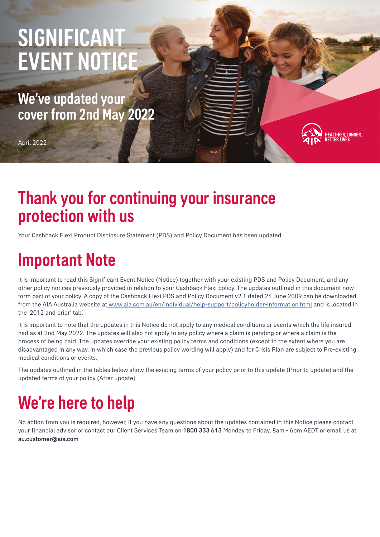# SIGNIFICANT EVENT NOTICE

We've updated your cover from 2nd May 2022

April 2022

### Thank you for continuing your insurance protection with us

Your Cashback Flexi Product Disclosure Statement (PDS) and Policy Document has been updated.

## Important Note

It is important to read this Significant Event Notice (Notice) together with your existing PDS and Policy Document, and any other policy notices previously provided in relation to your Cashback Flexi policy. The updates outlined in this document now form part of your policy. A copy of the Cashback Flexi PDS and Policy Document v2.1 dated 24 June 2009 can be downloaded from the AIA Australia website at [www.aia.com.au/en/individual/help-support/policyholder-information.html](http://www.aia.com.au/en/individual/help-support/policyholder-information.html) and is located in the '2012 and prior' tab'.

:<br>Althier, Longer,<br>:Tter Lives

It is important to note that the updates in this Notice do not apply to any medical conditions or events which the life insured had as at 2nd May 2022. The updates will also not apply to any policy where a claim is pending or where a claim is the process of being paid. The updates override your existing policy terms and conditions (except to the extent where you are disadvantaged in any way, in which case the previous policy wording will apply) and for Crisis Plan are subject to Pre-existing medical conditions or events.

The updates outlined in the tables below show the existing terms of your policy prior to this update (Prior to update) and the updated terms of your policy (After update).

## We're here to help

No action from you is required, however, if you have any questions about the updates contained in this Notice please contact your financial advisor or contact our Client Services Team on 1800 333 613 Monday to Friday, 8am - 6pm AEDT or email us at au.customer@aia.com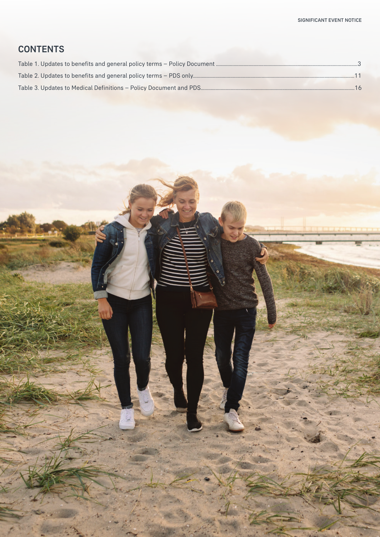#### **CONTENTS**

| $-16$ |
|-------|

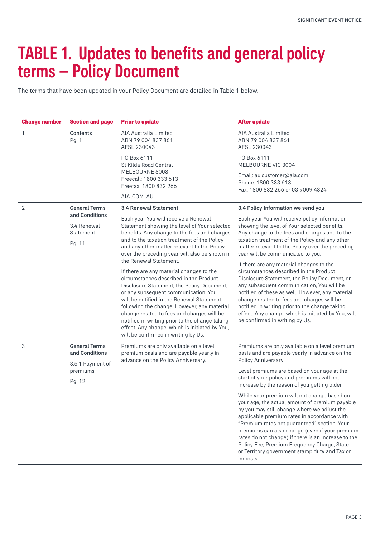## TABLE 1. Updates to benefits and general policy terms – Policy Document

The terms that have been updated in your Policy Document are detailed in Table 1 below.

| <b>Change number</b> | <b>Section and page</b>                    | <b>Prior to update</b>                                                                                                                                                                                                                                                                                                                                                                                                                                        | After update                                                                                                                                                                                                                                                                                                                                                                                                                  |  |  |
|----------------------|--------------------------------------------|---------------------------------------------------------------------------------------------------------------------------------------------------------------------------------------------------------------------------------------------------------------------------------------------------------------------------------------------------------------------------------------------------------------------------------------------------------------|-------------------------------------------------------------------------------------------------------------------------------------------------------------------------------------------------------------------------------------------------------------------------------------------------------------------------------------------------------------------------------------------------------------------------------|--|--|
| 1                    | <b>Contents</b><br>Pg. 1                   | AIA Australia Limited<br>ABN 79 004 837 861<br>AFSL 230043                                                                                                                                                                                                                                                                                                                                                                                                    | AIA Australia Limited<br>ABN 79 004 837 861<br>AFSL 230043                                                                                                                                                                                                                                                                                                                                                                    |  |  |
|                      |                                            | PO Box 6111<br>St Kilda Road Central                                                                                                                                                                                                                                                                                                                                                                                                                          | PO Box 6111<br>MELBOURNE VIC 3004                                                                                                                                                                                                                                                                                                                                                                                             |  |  |
|                      |                                            | MELBOURNE 8008<br>Freecall: 1800 333 613<br>Freefax: 1800 832 266                                                                                                                                                                                                                                                                                                                                                                                             | Email: au.customer@aia.com<br>Phone: 1800 333 613<br>Fax: 1800 832 266 or 03 9009 4824                                                                                                                                                                                                                                                                                                                                        |  |  |
|                      |                                            | AIA .COM .AU                                                                                                                                                                                                                                                                                                                                                                                                                                                  |                                                                                                                                                                                                                                                                                                                                                                                                                               |  |  |
| 2                    | <b>General Terms</b>                       | <b>3.4 Renewal Statement</b>                                                                                                                                                                                                                                                                                                                                                                                                                                  | 3.4 Policy Information we send you                                                                                                                                                                                                                                                                                                                                                                                            |  |  |
|                      | and Conditions<br>3.4 Renewal<br>Statement | Each year You will receive a Renewal<br>Statement showing the level of Your selected<br>benefits. Any change to the fees and charges<br>and to the taxation treatment of the Policy                                                                                                                                                                                                                                                                           | Each year You will receive policy information<br>showing the level of Your selected benefits.<br>Any change to the fees and charges and to the<br>taxation treatment of the Policy and any other                                                                                                                                                                                                                              |  |  |
|                      | Pg. 11                                     | and any other matter relevant to the Policy<br>over the preceding year will also be shown in<br>the Renewal Statement.                                                                                                                                                                                                                                                                                                                                        | matter relevant to the Policy over the preceding<br>year will be communicated to you.                                                                                                                                                                                                                                                                                                                                         |  |  |
|                      |                                            | If there are any material changes to the<br>circumstances described in the Product<br>Disclosure Statement, the Policy Document,<br>or any subsequent communication, You<br>will be notified in the Renewal Statement<br>following the change. However, any material<br>change related to fees and charges will be<br>notified in writing prior to the change taking<br>effect. Any change, which is initiated by You,<br>will be confirmed in writing by Us. | If there are any material changes to the<br>circumstances described in the Product<br>Disclosure Statement, the Policy Document, or<br>any subsequent communication, You will be<br>notified of these as well. However, any material<br>change related to fees and charges will be<br>notified in writing prior to the change taking<br>effect. Any change, which is initiated by You, will<br>be confirmed in writing by Us. |  |  |
| 3                    | <b>General Terms</b><br>and Conditions     | Premiums are only available on a level<br>premium basis and are payable yearly in                                                                                                                                                                                                                                                                                                                                                                             | Premiums are only available on a level premium<br>basis and are payable yearly in advance on the                                                                                                                                                                                                                                                                                                                              |  |  |
|                      | 3.5.1 Payment of<br>premiums<br>Pg. 12     | advance on the Policy Anniversary.                                                                                                                                                                                                                                                                                                                                                                                                                            | Policy Anniversary.<br>Level premiums are based on your age at the<br>start of your policy and premiums will not                                                                                                                                                                                                                                                                                                              |  |  |
|                      |                                            |                                                                                                                                                                                                                                                                                                                                                                                                                                                               | increase by the reason of you getting older.<br>While your premium will not change based on                                                                                                                                                                                                                                                                                                                                   |  |  |
|                      |                                            |                                                                                                                                                                                                                                                                                                                                                                                                                                                               | your age, the actual amount of premium payable<br>by you may still change where we adjust the<br>applicable premium rates in accordance with<br>"Premium rates not guaranteed" section. Your<br>premiums can also change (even if your premium<br>rates do not change) if there is an increase to the<br>Policy Fee, Premium Frequency Charge, State<br>or Territory government stamp duty and Tax or<br>imposts.             |  |  |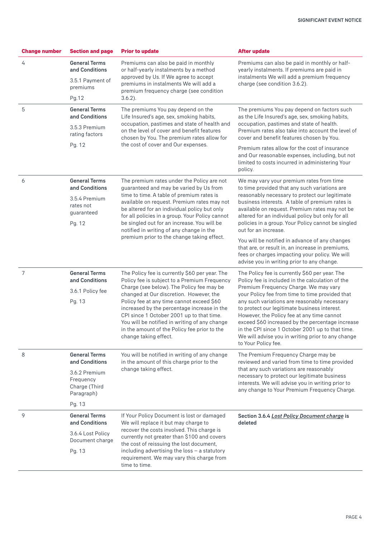| <b>General Terms</b><br>Premiums can also be paid in monthly<br>Premiums can also be paid in monthly or half-<br>4<br>and Conditions<br>or half-yearly instalments by a method<br>yearly instalments. If premiums are paid in<br>approved by Us. If We agree to accept<br>instalments We will add a premium frequency<br>3.5.1 Payment of<br>premiums in instalments We will add a<br>charge (see condition 3.6.2).<br>premiums<br>premium frequency charge (see condition<br>$3.6.2$ ).<br>Pg.12<br>5<br><b>General Terms</b><br>The premiums You pay depend on factors such<br>The premiums You pay depend on the<br>and Conditions<br>Life Insured's age, sex, smoking habits,<br>as the Life Insured's age, sex, smoking habits,<br>occupation, pastimes and state of health and<br>occupation, pastimes and state of health.<br>3.5.3 Premium<br>on the level of cover and benefit features<br>Premium rates also take into account the level of<br>rating factors<br>chosen by You. The premium rates allow for<br>cover and benefit features chosen by You.<br>the cost of cover and Our expenses.<br>Pg. 12<br>Premium rates allow for the cost of insurance<br>and Our reasonable expenses, including, but not<br>limited to costs incurred in administering Your<br>policy.<br><b>General Terms</b><br>6<br>The premium rates under the Policy are not<br>We may vary your premium rates from time<br>and Conditions<br>guaranteed and may be varied by Us from<br>to time provided that any such variations are<br>time to time. A table of premium rates is<br>reasonably necessary to protect our legitimate<br>3.5.4 Premium<br>available on request. Premium rates may not<br>business interests. A table of premium rates is<br>rates not<br>be altered for an individual policy but only<br>available on request. Premium rates may not be<br>guaranteed<br>for all policies in a group. Your Policy cannot<br>altered for an individual policy but only for all<br>be singled out for an increase. You will be<br>policies in a group. Your Policy cannot be singled<br>Pg. 12<br>notified in writing of any change in the<br>out for an increase.<br>premium prior to the change taking effect.<br>You will be notified in advance of any changes<br>that are, or result in, an increase in premiums,<br>fees or charges impacting your policy. We will<br>advise you in writing prior to any change.<br>7<br><b>General Terms</b><br>The Policy fee is currently \$60 per year. The<br>The Policy fee is currently \$60 per year. The<br>and Conditions<br>Policy fee is subject to a Premium Frequency<br>Policy fee is included in the calculation of the<br>Charge (see below). The Policy fee may be<br>Premium Frequency Charge. We may vary<br>3.6.1 Policy fee<br>changed at Our discretion. However, the<br>your Policy fee from time to time provided that<br>Policy fee at any time cannot exceed \$60<br>any such variations are reasonably necessary<br>Pg. 13<br>increased by the percentage increase in the<br>to protect our legitimate business interest.<br>CPI since 1 October 2001 up to that time.<br>However, the Policy fee at any time cannot<br>You will be notified in writing of any change<br>exceed \$60 increased by the percentage increase<br>in the amount of the Policy fee prior to the<br>in the CPI since 1 October 2001 up to that time.<br>change taking effect.<br>We will advise you in writing prior to any change<br>to Your Policy fee.<br>8<br><b>General Terms</b><br>You will be notified in writing of any change<br>The Premium Frequency Charge may be<br>and Conditions<br>in the amount of this charge prior to the<br>reviewed and varied from time to time provided<br>change taking effect.<br>that any such variations are reasonably<br>3.6.2 Premium<br>necessary to protect our legitimate business<br>Frequency<br>interests. We will advise you in writing prior to<br>Charge (Third<br>any change to Your Premium Frequency Charge.<br>Paragraph)<br>Pg. 13<br>9<br><b>General Terms</b><br>If Your Policy Document is lost or damaged<br>Section 3.6.4 Lost Policy Document charge is<br>and Conditions<br>We will replace it but may charge to<br>deleted<br>recover the costs involved. This charge is<br>3.6.4 Lost Policy<br>currently not greater than \$100 and covers<br>Document charge<br>the cost of reissuing the lost document,<br>including advertising the loss $-$ a statutory<br>Pg. 13<br>requirement. We may vary this charge from | <b>Change number</b> | <b>Section and page</b> | <b>Prior to update</b> | <b>After update</b> |  |  |
|----------------------------------------------------------------------------------------------------------------------------------------------------------------------------------------------------------------------------------------------------------------------------------------------------------------------------------------------------------------------------------------------------------------------------------------------------------------------------------------------------------------------------------------------------------------------------------------------------------------------------------------------------------------------------------------------------------------------------------------------------------------------------------------------------------------------------------------------------------------------------------------------------------------------------------------------------------------------------------------------------------------------------------------------------------------------------------------------------------------------------------------------------------------------------------------------------------------------------------------------------------------------------------------------------------------------------------------------------------------------------------------------------------------------------------------------------------------------------------------------------------------------------------------------------------------------------------------------------------------------------------------------------------------------------------------------------------------------------------------------------------------------------------------------------------------------------------------------------------------------------------------------------------------------------------------------------------------------------------------------------------------------------------------------------------------------------------------------------------------------------------------------------------------------------------------------------------------------------------------------------------------------------------------------------------------------------------------------------------------------------------------------------------------------------------------------------------------------------------------------------------------------------------------------------------------------------------------------------------------------------------------------------------------------------------------------------------------------------------------------------------------------------------------------------------------------------------------------------------------------------------------------------------------------------------------------------------------------------------------------------------------------------------------------------------------------------------------------------------------------------------------------------------------------------------------------------------------------------------------------------------------------------------------------------------------------------------------------------------------------------------------------------------------------------------------------------------------------------------------------------------------------------------------------------------------------------------------------------------------------------------------------------------------------------------------------------------------------------------------------------------------------------------------------------------------------------------------------------------------------------------------------------------------------------------------------------------------------------------------------------------------------------------------------------------------------------------------------------------------------------------------------------------------------------------------------------------------------------------------------------------------------------------------------------------------------------------------------------------------------------------------------------------------------------------------------------------------------------------------------------------------------------------------|----------------------|-------------------------|------------------------|---------------------|--|--|
|                                                                                                                                                                                                                                                                                                                                                                                                                                                                                                                                                                                                                                                                                                                                                                                                                                                                                                                                                                                                                                                                                                                                                                                                                                                                                                                                                                                                                                                                                                                                                                                                                                                                                                                                                                                                                                                                                                                                                                                                                                                                                                                                                                                                                                                                                                                                                                                                                                                                                                                                                                                                                                                                                                                                                                                                                                                                                                                                                                                                                                                                                                                                                                                                                                                                                                                                                                                                                                                                                                                                                                                                                                                                                                                                                                                                                                                                                                                                                                                                                                                                                                                                                                                                                                                                                                                                                                                                                                                                                                                                        |                      |                         |                        |                     |  |  |
|                                                                                                                                                                                                                                                                                                                                                                                                                                                                                                                                                                                                                                                                                                                                                                                                                                                                                                                                                                                                                                                                                                                                                                                                                                                                                                                                                                                                                                                                                                                                                                                                                                                                                                                                                                                                                                                                                                                                                                                                                                                                                                                                                                                                                                                                                                                                                                                                                                                                                                                                                                                                                                                                                                                                                                                                                                                                                                                                                                                                                                                                                                                                                                                                                                                                                                                                                                                                                                                                                                                                                                                                                                                                                                                                                                                                                                                                                                                                                                                                                                                                                                                                                                                                                                                                                                                                                                                                                                                                                                                                        |                      |                         |                        |                     |  |  |
|                                                                                                                                                                                                                                                                                                                                                                                                                                                                                                                                                                                                                                                                                                                                                                                                                                                                                                                                                                                                                                                                                                                                                                                                                                                                                                                                                                                                                                                                                                                                                                                                                                                                                                                                                                                                                                                                                                                                                                                                                                                                                                                                                                                                                                                                                                                                                                                                                                                                                                                                                                                                                                                                                                                                                                                                                                                                                                                                                                                                                                                                                                                                                                                                                                                                                                                                                                                                                                                                                                                                                                                                                                                                                                                                                                                                                                                                                                                                                                                                                                                                                                                                                                                                                                                                                                                                                                                                                                                                                                                                        |                      |                         |                        |                     |  |  |
|                                                                                                                                                                                                                                                                                                                                                                                                                                                                                                                                                                                                                                                                                                                                                                                                                                                                                                                                                                                                                                                                                                                                                                                                                                                                                                                                                                                                                                                                                                                                                                                                                                                                                                                                                                                                                                                                                                                                                                                                                                                                                                                                                                                                                                                                                                                                                                                                                                                                                                                                                                                                                                                                                                                                                                                                                                                                                                                                                                                                                                                                                                                                                                                                                                                                                                                                                                                                                                                                                                                                                                                                                                                                                                                                                                                                                                                                                                                                                                                                                                                                                                                                                                                                                                                                                                                                                                                                                                                                                                                                        |                      |                         |                        |                     |  |  |
|                                                                                                                                                                                                                                                                                                                                                                                                                                                                                                                                                                                                                                                                                                                                                                                                                                                                                                                                                                                                                                                                                                                                                                                                                                                                                                                                                                                                                                                                                                                                                                                                                                                                                                                                                                                                                                                                                                                                                                                                                                                                                                                                                                                                                                                                                                                                                                                                                                                                                                                                                                                                                                                                                                                                                                                                                                                                                                                                                                                                                                                                                                                                                                                                                                                                                                                                                                                                                                                                                                                                                                                                                                                                                                                                                                                                                                                                                                                                                                                                                                                                                                                                                                                                                                                                                                                                                                                                                                                                                                                                        |                      |                         |                        |                     |  |  |
|                                                                                                                                                                                                                                                                                                                                                                                                                                                                                                                                                                                                                                                                                                                                                                                                                                                                                                                                                                                                                                                                                                                                                                                                                                                                                                                                                                                                                                                                                                                                                                                                                                                                                                                                                                                                                                                                                                                                                                                                                                                                                                                                                                                                                                                                                                                                                                                                                                                                                                                                                                                                                                                                                                                                                                                                                                                                                                                                                                                                                                                                                                                                                                                                                                                                                                                                                                                                                                                                                                                                                                                                                                                                                                                                                                                                                                                                                                                                                                                                                                                                                                                                                                                                                                                                                                                                                                                                                                                                                                                                        |                      |                         |                        |                     |  |  |
|                                                                                                                                                                                                                                                                                                                                                                                                                                                                                                                                                                                                                                                                                                                                                                                                                                                                                                                                                                                                                                                                                                                                                                                                                                                                                                                                                                                                                                                                                                                                                                                                                                                                                                                                                                                                                                                                                                                                                                                                                                                                                                                                                                                                                                                                                                                                                                                                                                                                                                                                                                                                                                                                                                                                                                                                                                                                                                                                                                                                                                                                                                                                                                                                                                                                                                                                                                                                                                                                                                                                                                                                                                                                                                                                                                                                                                                                                                                                                                                                                                                                                                                                                                                                                                                                                                                                                                                                                                                                                                                                        |                      |                         |                        |                     |  |  |
|                                                                                                                                                                                                                                                                                                                                                                                                                                                                                                                                                                                                                                                                                                                                                                                                                                                                                                                                                                                                                                                                                                                                                                                                                                                                                                                                                                                                                                                                                                                                                                                                                                                                                                                                                                                                                                                                                                                                                                                                                                                                                                                                                                                                                                                                                                                                                                                                                                                                                                                                                                                                                                                                                                                                                                                                                                                                                                                                                                                                                                                                                                                                                                                                                                                                                                                                                                                                                                                                                                                                                                                                                                                                                                                                                                                                                                                                                                                                                                                                                                                                                                                                                                                                                                                                                                                                                                                                                                                                                                                                        |                      |                         |                        |                     |  |  |
|                                                                                                                                                                                                                                                                                                                                                                                                                                                                                                                                                                                                                                                                                                                                                                                                                                                                                                                                                                                                                                                                                                                                                                                                                                                                                                                                                                                                                                                                                                                                                                                                                                                                                                                                                                                                                                                                                                                                                                                                                                                                                                                                                                                                                                                                                                                                                                                                                                                                                                                                                                                                                                                                                                                                                                                                                                                                                                                                                                                                                                                                                                                                                                                                                                                                                                                                                                                                                                                                                                                                                                                                                                                                                                                                                                                                                                                                                                                                                                                                                                                                                                                                                                                                                                                                                                                                                                                                                                                                                                                                        |                      |                         |                        |                     |  |  |
|                                                                                                                                                                                                                                                                                                                                                                                                                                                                                                                                                                                                                                                                                                                                                                                                                                                                                                                                                                                                                                                                                                                                                                                                                                                                                                                                                                                                                                                                                                                                                                                                                                                                                                                                                                                                                                                                                                                                                                                                                                                                                                                                                                                                                                                                                                                                                                                                                                                                                                                                                                                                                                                                                                                                                                                                                                                                                                                                                                                                                                                                                                                                                                                                                                                                                                                                                                                                                                                                                                                                                                                                                                                                                                                                                                                                                                                                                                                                                                                                                                                                                                                                                                                                                                                                                                                                                                                                                                                                                                                                        |                      |                         |                        |                     |  |  |
|                                                                                                                                                                                                                                                                                                                                                                                                                                                                                                                                                                                                                                                                                                                                                                                                                                                                                                                                                                                                                                                                                                                                                                                                                                                                                                                                                                                                                                                                                                                                                                                                                                                                                                                                                                                                                                                                                                                                                                                                                                                                                                                                                                                                                                                                                                                                                                                                                                                                                                                                                                                                                                                                                                                                                                                                                                                                                                                                                                                                                                                                                                                                                                                                                                                                                                                                                                                                                                                                                                                                                                                                                                                                                                                                                                                                                                                                                                                                                                                                                                                                                                                                                                                                                                                                                                                                                                                                                                                                                                                                        |                      |                         |                        |                     |  |  |
|                                                                                                                                                                                                                                                                                                                                                                                                                                                                                                                                                                                                                                                                                                                                                                                                                                                                                                                                                                                                                                                                                                                                                                                                                                                                                                                                                                                                                                                                                                                                                                                                                                                                                                                                                                                                                                                                                                                                                                                                                                                                                                                                                                                                                                                                                                                                                                                                                                                                                                                                                                                                                                                                                                                                                                                                                                                                                                                                                                                                                                                                                                                                                                                                                                                                                                                                                                                                                                                                                                                                                                                                                                                                                                                                                                                                                                                                                                                                                                                                                                                                                                                                                                                                                                                                                                                                                                                                                                                                                                                                        |                      |                         |                        |                     |  |  |
|                                                                                                                                                                                                                                                                                                                                                                                                                                                                                                                                                                                                                                                                                                                                                                                                                                                                                                                                                                                                                                                                                                                                                                                                                                                                                                                                                                                                                                                                                                                                                                                                                                                                                                                                                                                                                                                                                                                                                                                                                                                                                                                                                                                                                                                                                                                                                                                                                                                                                                                                                                                                                                                                                                                                                                                                                                                                                                                                                                                                                                                                                                                                                                                                                                                                                                                                                                                                                                                                                                                                                                                                                                                                                                                                                                                                                                                                                                                                                                                                                                                                                                                                                                                                                                                                                                                                                                                                                                                                                                                                        |                      |                         |                        |                     |  |  |
|                                                                                                                                                                                                                                                                                                                                                                                                                                                                                                                                                                                                                                                                                                                                                                                                                                                                                                                                                                                                                                                                                                                                                                                                                                                                                                                                                                                                                                                                                                                                                                                                                                                                                                                                                                                                                                                                                                                                                                                                                                                                                                                                                                                                                                                                                                                                                                                                                                                                                                                                                                                                                                                                                                                                                                                                                                                                                                                                                                                                                                                                                                                                                                                                                                                                                                                                                                                                                                                                                                                                                                                                                                                                                                                                                                                                                                                                                                                                                                                                                                                                                                                                                                                                                                                                                                                                                                                                                                                                                                                                        |                      |                         |                        |                     |  |  |
|                                                                                                                                                                                                                                                                                                                                                                                                                                                                                                                                                                                                                                                                                                                                                                                                                                                                                                                                                                                                                                                                                                                                                                                                                                                                                                                                                                                                                                                                                                                                                                                                                                                                                                                                                                                                                                                                                                                                                                                                                                                                                                                                                                                                                                                                                                                                                                                                                                                                                                                                                                                                                                                                                                                                                                                                                                                                                                                                                                                                                                                                                                                                                                                                                                                                                                                                                                                                                                                                                                                                                                                                                                                                                                                                                                                                                                                                                                                                                                                                                                                                                                                                                                                                                                                                                                                                                                                                                                                                                                                                        |                      |                         |                        |                     |  |  |
|                                                                                                                                                                                                                                                                                                                                                                                                                                                                                                                                                                                                                                                                                                                                                                                                                                                                                                                                                                                                                                                                                                                                                                                                                                                                                                                                                                                                                                                                                                                                                                                                                                                                                                                                                                                                                                                                                                                                                                                                                                                                                                                                                                                                                                                                                                                                                                                                                                                                                                                                                                                                                                                                                                                                                                                                                                                                                                                                                                                                                                                                                                                                                                                                                                                                                                                                                                                                                                                                                                                                                                                                                                                                                                                                                                                                                                                                                                                                                                                                                                                                                                                                                                                                                                                                                                                                                                                                                                                                                                                                        |                      |                         |                        |                     |  |  |
|                                                                                                                                                                                                                                                                                                                                                                                                                                                                                                                                                                                                                                                                                                                                                                                                                                                                                                                                                                                                                                                                                                                                                                                                                                                                                                                                                                                                                                                                                                                                                                                                                                                                                                                                                                                                                                                                                                                                                                                                                                                                                                                                                                                                                                                                                                                                                                                                                                                                                                                                                                                                                                                                                                                                                                                                                                                                                                                                                                                                                                                                                                                                                                                                                                                                                                                                                                                                                                                                                                                                                                                                                                                                                                                                                                                                                                                                                                                                                                                                                                                                                                                                                                                                                                                                                                                                                                                                                                                                                                                                        |                      |                         |                        |                     |  |  |
|                                                                                                                                                                                                                                                                                                                                                                                                                                                                                                                                                                                                                                                                                                                                                                                                                                                                                                                                                                                                                                                                                                                                                                                                                                                                                                                                                                                                                                                                                                                                                                                                                                                                                                                                                                                                                                                                                                                                                                                                                                                                                                                                                                                                                                                                                                                                                                                                                                                                                                                                                                                                                                                                                                                                                                                                                                                                                                                                                                                                                                                                                                                                                                                                                                                                                                                                                                                                                                                                                                                                                                                                                                                                                                                                                                                                                                                                                                                                                                                                                                                                                                                                                                                                                                                                                                                                                                                                                                                                                                                                        |                      |                         |                        |                     |  |  |
|                                                                                                                                                                                                                                                                                                                                                                                                                                                                                                                                                                                                                                                                                                                                                                                                                                                                                                                                                                                                                                                                                                                                                                                                                                                                                                                                                                                                                                                                                                                                                                                                                                                                                                                                                                                                                                                                                                                                                                                                                                                                                                                                                                                                                                                                                                                                                                                                                                                                                                                                                                                                                                                                                                                                                                                                                                                                                                                                                                                                                                                                                                                                                                                                                                                                                                                                                                                                                                                                                                                                                                                                                                                                                                                                                                                                                                                                                                                                                                                                                                                                                                                                                                                                                                                                                                                                                                                                                                                                                                                                        |                      |                         |                        |                     |  |  |
|                                                                                                                                                                                                                                                                                                                                                                                                                                                                                                                                                                                                                                                                                                                                                                                                                                                                                                                                                                                                                                                                                                                                                                                                                                                                                                                                                                                                                                                                                                                                                                                                                                                                                                                                                                                                                                                                                                                                                                                                                                                                                                                                                                                                                                                                                                                                                                                                                                                                                                                                                                                                                                                                                                                                                                                                                                                                                                                                                                                                                                                                                                                                                                                                                                                                                                                                                                                                                                                                                                                                                                                                                                                                                                                                                                                                                                                                                                                                                                                                                                                                                                                                                                                                                                                                                                                                                                                                                                                                                                                                        |                      |                         |                        |                     |  |  |
|                                                                                                                                                                                                                                                                                                                                                                                                                                                                                                                                                                                                                                                                                                                                                                                                                                                                                                                                                                                                                                                                                                                                                                                                                                                                                                                                                                                                                                                                                                                                                                                                                                                                                                                                                                                                                                                                                                                                                                                                                                                                                                                                                                                                                                                                                                                                                                                                                                                                                                                                                                                                                                                                                                                                                                                                                                                                                                                                                                                                                                                                                                                                                                                                                                                                                                                                                                                                                                                                                                                                                                                                                                                                                                                                                                                                                                                                                                                                                                                                                                                                                                                                                                                                                                                                                                                                                                                                                                                                                                                                        |                      |                         |                        |                     |  |  |
|                                                                                                                                                                                                                                                                                                                                                                                                                                                                                                                                                                                                                                                                                                                                                                                                                                                                                                                                                                                                                                                                                                                                                                                                                                                                                                                                                                                                                                                                                                                                                                                                                                                                                                                                                                                                                                                                                                                                                                                                                                                                                                                                                                                                                                                                                                                                                                                                                                                                                                                                                                                                                                                                                                                                                                                                                                                                                                                                                                                                                                                                                                                                                                                                                                                                                                                                                                                                                                                                                                                                                                                                                                                                                                                                                                                                                                                                                                                                                                                                                                                                                                                                                                                                                                                                                                                                                                                                                                                                                                                                        |                      |                         |                        |                     |  |  |
|                                                                                                                                                                                                                                                                                                                                                                                                                                                                                                                                                                                                                                                                                                                                                                                                                                                                                                                                                                                                                                                                                                                                                                                                                                                                                                                                                                                                                                                                                                                                                                                                                                                                                                                                                                                                                                                                                                                                                                                                                                                                                                                                                                                                                                                                                                                                                                                                                                                                                                                                                                                                                                                                                                                                                                                                                                                                                                                                                                                                                                                                                                                                                                                                                                                                                                                                                                                                                                                                                                                                                                                                                                                                                                                                                                                                                                                                                                                                                                                                                                                                                                                                                                                                                                                                                                                                                                                                                                                                                                                                        |                      |                         | time to time.          |                     |  |  |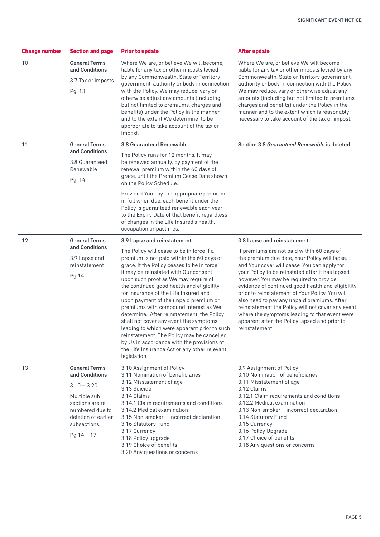| <b>Change number</b> | <b>Section and page</b>                                                                                                                                               | <b>Prior to update</b>                                                                                                                                                                                                                                                                                                                                                                                                                                                                                                                                                                                                                                                                            | <b>After update</b>                                                                                                                                                                                                                                                                                                                                                                                                                                                                                                                                                         |  |
|----------------------|-----------------------------------------------------------------------------------------------------------------------------------------------------------------------|---------------------------------------------------------------------------------------------------------------------------------------------------------------------------------------------------------------------------------------------------------------------------------------------------------------------------------------------------------------------------------------------------------------------------------------------------------------------------------------------------------------------------------------------------------------------------------------------------------------------------------------------------------------------------------------------------|-----------------------------------------------------------------------------------------------------------------------------------------------------------------------------------------------------------------------------------------------------------------------------------------------------------------------------------------------------------------------------------------------------------------------------------------------------------------------------------------------------------------------------------------------------------------------------|--|
| 10                   | <b>General Terms</b><br>and Conditions<br>3.7 Tax or imposts                                                                                                          | Where We are, or believe We will become,<br>liable for any tax or other imposts levied<br>by any Commonwealth, State or Territory                                                                                                                                                                                                                                                                                                                                                                                                                                                                                                                                                                 | Where We are, or believe We will become,<br>liable for any tax or other imposts levied by any<br>Commonwealth, State or Territory government,                                                                                                                                                                                                                                                                                                                                                                                                                               |  |
|                      | Pg. 13                                                                                                                                                                | government, authority or body in connection<br>with the Policy, We may reduce, vary or<br>otherwise adjust any amounts (including<br>but not limited to premiums, charges and<br>benefits) under the Policy in the manner<br>and to the extent We determine to be<br>appropriate to take account of the tax or<br>impost.                                                                                                                                                                                                                                                                                                                                                                         | authority or body in connection with the Policy,<br>We may reduce, vary or otherwise adjust any<br>amounts (including but not limited to premiums,<br>charges and benefits) under the Policy in the<br>manner and to the extent which is reasonably<br>necessary to take account of the tax or impost.                                                                                                                                                                                                                                                                      |  |
| 11                   | <b>General Terms</b><br>and Conditions                                                                                                                                | 3.8 Guaranteed Renewable                                                                                                                                                                                                                                                                                                                                                                                                                                                                                                                                                                                                                                                                          | Section 3.8 Guaranteed Renewable is deleted                                                                                                                                                                                                                                                                                                                                                                                                                                                                                                                                 |  |
|                      | 3.8 Guaranteed<br>Renewable<br>Pg. 14                                                                                                                                 | The Policy runs for 12 months. It may<br>be renewed annually, by payment of the<br>renewal premium within the 60 days of<br>grace, until the Premium Cease Date shown<br>on the Policy Schedule.                                                                                                                                                                                                                                                                                                                                                                                                                                                                                                  |                                                                                                                                                                                                                                                                                                                                                                                                                                                                                                                                                                             |  |
|                      |                                                                                                                                                                       | Provided You pay the appropriate premium<br>in full when due, each benefit under the<br>Policy is guaranteed renewable each year<br>to the Expiry Date of that benefit regardless<br>of changes in the Life Insured's health,<br>occupation or pastimes.                                                                                                                                                                                                                                                                                                                                                                                                                                          |                                                                                                                                                                                                                                                                                                                                                                                                                                                                                                                                                                             |  |
| 12                   | <b>General Terms</b>                                                                                                                                                  | 3.9 Lapse and reinstatement                                                                                                                                                                                                                                                                                                                                                                                                                                                                                                                                                                                                                                                                       | 3.8 Lapse and reinstatement                                                                                                                                                                                                                                                                                                                                                                                                                                                                                                                                                 |  |
|                      | and Conditions<br>3.9 Lapse and<br>reinstatement<br>Pg.14                                                                                                             | The Policy will cease to be in force if a<br>premium is not paid within the 60 days of<br>grace. If the Policy ceases to be in force<br>it may be reinstated with Our consent<br>upon such proof as We may require of<br>the continued good health and eligibility<br>for insurance of the Life Insured and<br>upon payment of the unpaid premium or<br>premiums with compound interest as We<br>determine. After reinstatement, the Policy<br>shall not cover any event the symptoms<br>leading to which were apparent prior to such<br>reinstatement. The Policy may be cancelled<br>by Us in accordance with the provisions of<br>the Life Insurance Act or any other relevant<br>legislation. | If premiums are not paid within 60 days of<br>the premium due date, Your Policy will lapse,<br>and Your cover will cease. You can apply for<br>your Policy to be reinstated after it has lapsed,<br>however, You may be required to provide<br>evidence of continued good health and eligibility<br>prior to reinstatement of Your Policy. You will<br>also need to pay any unpaid premiums. After<br>reinstatement the Policy will not cover any event<br>where the symptoms leading to that event were<br>apparent after the Policy lapsed and prior to<br>reinstatement. |  |
| 13                   | <b>General Terms</b><br>and Conditions<br>$3.10 - 3.20$<br>Multiple sub<br>sections are re-<br>numbered due to<br>deletion of earlier<br>subsections.<br>$Pg.14 - 17$ | 3.10 Assignment of Policy<br>3.11 Nomination of beneficiaries<br>3.12 Misstatement of age<br>3.13 Suicide<br>3.14 Claims<br>3.14.1 Claim requirements and conditions<br>3.14.2 Medical examination<br>3.15 Non-smoker - incorrect declaration<br>3.16 Statutory Fund<br>3.17 Currency<br>3.18 Policy upgrade<br>3.19 Choice of benefits<br>3.20 Any questions or concerns                                                                                                                                                                                                                                                                                                                         | 3.9 Assignment of Policy<br>3.10 Nomination of beneficiaries<br>3.11 Misstatement of age<br>3.12 Claims<br>3.12.1 Claim requirements and conditions<br>3.12.2 Medical examination<br>3.13 Non-smoker - incorrect declaration<br>3.14 Statutory Fund<br>3.15 Currency<br>3.16 Policy Upgrade<br>3.17 Choice of benefits<br>3.18 Any questions or concerns                                                                                                                                                                                                                    |  |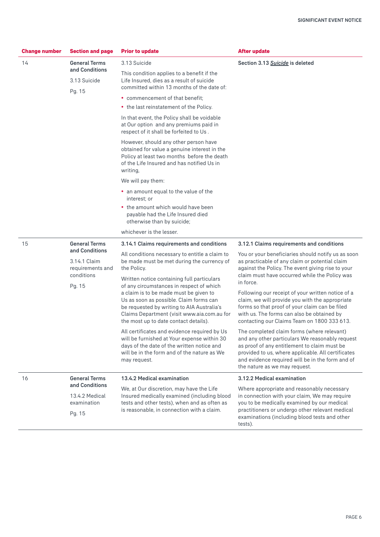| <b>Change number</b> | <b>Section and page</b>                            | <b>After update</b><br><b>Prior to update</b>                                                                                                                                                                           |                                                                                                                                                                                                                                                                                          |  |  |
|----------------------|----------------------------------------------------|-------------------------------------------------------------------------------------------------------------------------------------------------------------------------------------------------------------------------|------------------------------------------------------------------------------------------------------------------------------------------------------------------------------------------------------------------------------------------------------------------------------------------|--|--|
| 14                   | <b>General Terms</b>                               | 3.13 Suicide                                                                                                                                                                                                            | Section 3.13 Suicide is deleted                                                                                                                                                                                                                                                          |  |  |
|                      | and Conditions<br>3.13 Suicide<br>Pg. 15           | This condition applies to a benefit if the<br>Life Insured, dies as a result of suicide<br>committed within 13 months of the date of:                                                                                   |                                                                                                                                                                                                                                                                                          |  |  |
|                      |                                                    | • commencement of that benefit;                                                                                                                                                                                         |                                                                                                                                                                                                                                                                                          |  |  |
|                      |                                                    | • the last reinstatement of the Policy.                                                                                                                                                                                 |                                                                                                                                                                                                                                                                                          |  |  |
|                      |                                                    | In that event, the Policy shall be voidable<br>at Our option and any premiums paid in<br>respect of it shall be forfeited to Us.                                                                                        |                                                                                                                                                                                                                                                                                          |  |  |
|                      |                                                    | However, should any other person have<br>obtained for value a genuine interest in the<br>Policy at least two months before the death<br>of the Life Insured and has notified Us in<br>writing,                          |                                                                                                                                                                                                                                                                                          |  |  |
|                      |                                                    | We will pay them:                                                                                                                                                                                                       |                                                                                                                                                                                                                                                                                          |  |  |
|                      |                                                    | • an amount equal to the value of the<br>interest; or                                                                                                                                                                   |                                                                                                                                                                                                                                                                                          |  |  |
|                      |                                                    | • the amount which would have been<br>payable had the Life Insured died<br>otherwise than by suicide;                                                                                                                   |                                                                                                                                                                                                                                                                                          |  |  |
|                      |                                                    | whichever is the lesser.                                                                                                                                                                                                |                                                                                                                                                                                                                                                                                          |  |  |
| 15                   | <b>General Terms</b>                               | 3.14.1 Claims requirements and conditions                                                                                                                                                                               | 3.12.1 Claims requirements and conditions                                                                                                                                                                                                                                                |  |  |
|                      | and Conditions<br>3.14.1 Claim<br>requirements and | All conditions necessary to entitle a claim to<br>be made must be met during the currency of<br>the Policy.                                                                                                             | You or your beneficiaries should notify us as soon<br>as practicable of any claim or potential claim<br>against the Policy. The event giving rise to your                                                                                                                                |  |  |
|                      | conditions<br>Pg. 15                               | Written notice containing full particulars<br>of any circumstances in respect of which                                                                                                                                  | claim must have occurred while the Policy was<br>in force.                                                                                                                                                                                                                               |  |  |
|                      |                                                    | a claim is to be made must be given to<br>Us as soon as possible. Claim forms can<br>be requested by writing to AIA Australia's<br>Claims Department (visit www.aia.com.au for<br>the most up to date contact details). | Following our receipt of your written notice of a<br>claim, we will provide you with the appropriate<br>forms so that proof of your claim can be filed<br>with us. The forms can also be obtained by<br>contacting our Claims Team on 1800 333 613.                                      |  |  |
|                      |                                                    | All certificates and evidence required by Us<br>will be furnished at Your expense within 30<br>days of the date of the written notice and<br>will be in the form and of the nature as We<br>may request.                | The completed claim forms (where relevant)<br>and any other particulars We reasonably request<br>as proof of any entitlement to claim must be<br>provided to us, where applicable. All certificates<br>and evidence required will be in the form and of<br>the nature as we may request. |  |  |
| 16                   | <b>General Terms</b>                               | 13.4.2 Medical examination                                                                                                                                                                                              | 3.12.2 Medical examination                                                                                                                                                                                                                                                               |  |  |
|                      | and Conditions                                     | We, at Our discretion, may have the Life                                                                                                                                                                                | Where appropriate and reasonably necessary                                                                                                                                                                                                                                               |  |  |
|                      | 13.4.2 Medical<br>examination                      | Insured medically examined (including blood<br>tests and other tests), when and as often as                                                                                                                             | in connection with your claim, We may require<br>you to be medically examined by our medical<br>practitioners or undergo other relevant medical<br>examinations (including blood tests and other<br>tests).                                                                              |  |  |
|                      | Pg. 15                                             | is reasonable, in connection with a claim.                                                                                                                                                                              |                                                                                                                                                                                                                                                                                          |  |  |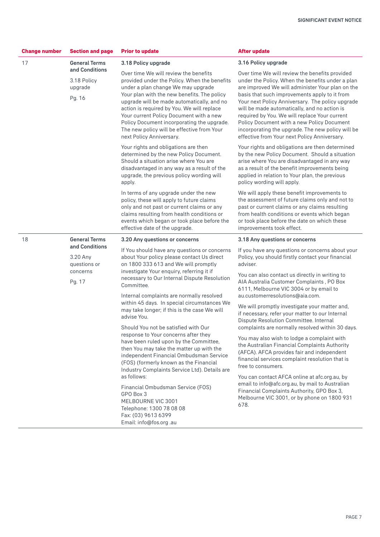| <b>Change number</b> | <b>Section and page</b>                                          | <b>Prior to update</b>                                                                                                                                                                                                                                                                                                                                                                                                                    | <b>After update</b>                                                                                                                                                                                                                                                                                                                                                                                                                                                                                             |
|----------------------|------------------------------------------------------------------|-------------------------------------------------------------------------------------------------------------------------------------------------------------------------------------------------------------------------------------------------------------------------------------------------------------------------------------------------------------------------------------------------------------------------------------------|-----------------------------------------------------------------------------------------------------------------------------------------------------------------------------------------------------------------------------------------------------------------------------------------------------------------------------------------------------------------------------------------------------------------------------------------------------------------------------------------------------------------|
| 17                   | <b>General Terms</b>                                             | 3.18 Policy upgrade                                                                                                                                                                                                                                                                                                                                                                                                                       | 3.16 Policy upgrade                                                                                                                                                                                                                                                                                                                                                                                                                                                                                             |
|                      | and Conditions<br>3.18 Policy<br>upgrade<br>Pg. 16               | Over time We will review the benefits<br>provided under the Policy. When the benefits<br>under a plan change We may upgrade<br>Your plan with the new benefits. The policy<br>upgrade will be made automatically, and no<br>action is required by You. We will replace<br>Your current Policy Document with a new<br>Policy Document incorporating the upgrade.<br>The new policy will be effective from Your<br>next Policy Anniversary. | Over time We will review the benefits provided<br>under the Policy. When the benefits under a plan<br>are improved We will administer Your plan on the<br>basis that such improvements apply to it from<br>Your next Policy Anniversary. The policy upgrade<br>will be made automatically, and no action is<br>required by You. We will replace Your current<br>Policy Document with a new Policy Document<br>incorporating the upgrade. The new policy will be<br>effective from Your next Policy Anniversary. |
|                      |                                                                  | Your rights and obligations are then<br>determined by the new Policy Document.<br>Should a situation arise where You are<br>disadvantaged in any way as a result of the<br>upgrade, the previous policy wording will<br>apply.                                                                                                                                                                                                            | Your rights and obligations are then determined<br>by the new Policy Document. Should a situation<br>arise where You are disadvantaged in any way<br>as a result of the benefit improvements being<br>applied in relation to Your plan, the previous<br>policy wording will apply.                                                                                                                                                                                                                              |
|                      |                                                                  | In terms of any upgrade under the new<br>policy, these will apply to future claims<br>only and not past or current claims or any<br>claims resulting from health conditions or<br>events which began or took place before the<br>effective date of the upgrade.                                                                                                                                                                           | We will apply these benefit improvements to<br>the assessment of future claims only and not to<br>past or current claims or any claims resulting<br>from health conditions or events which began<br>or took place before the date on which these<br>improvements took effect.                                                                                                                                                                                                                                   |
| 18                   | <b>General Terms</b>                                             | 3.20 Any questions or concerns                                                                                                                                                                                                                                                                                                                                                                                                            | 3.18 Any questions or concerns                                                                                                                                                                                                                                                                                                                                                                                                                                                                                  |
|                      | and Conditions<br>3.20 Any<br>questions or<br>concerns<br>Pg. 17 | If You should have any questions or concerns<br>about Your policy please contact Us direct<br>on 1800 333 613 and We will promptly<br>investigate Your enquiry, referring it if<br>necessary to Our Internal Dispute Resolution<br>Committee.                                                                                                                                                                                             | If you have any questions or concerns about your<br>Policy, you should firstly contact your financial<br>adviser.<br>You can also contact us directly in writing to<br>AIA Australia Customer Complaints, PO Box                                                                                                                                                                                                                                                                                                |
|                      |                                                                  | Internal complaints are normally resolved<br>within 45 days. In special circumstances We<br>may take longer; if this is the case We will<br>advise You.                                                                                                                                                                                                                                                                                   | 6111, Melbourne VIC 3004 or by email to<br>au.customerresolutions@aia.com.                                                                                                                                                                                                                                                                                                                                                                                                                                      |
|                      |                                                                  |                                                                                                                                                                                                                                                                                                                                                                                                                                           | We will promptly investigate your matter and,<br>if necessary, refer your matter to our Internal<br>Dispute Resolution Committee. Internal                                                                                                                                                                                                                                                                                                                                                                      |
|                      |                                                                  | Should You not be satisfied with Our<br>response to Your concerns after they<br>have been ruled upon by the Committee,<br>then You may take the matter up with the<br>independent Financial Ombudsman Service<br>(FOS) (formerly known as the Financial<br>Industry Complaints Service Ltd). Details are                                                                                                                                  | complaints are normally resolved within 30 days.<br>You may also wish to lodge a complaint with<br>the Australian Financial Complaints Authority<br>(AFCA). AFCA provides fair and independent<br>financial services complaint resolution that is<br>free to consumers.                                                                                                                                                                                                                                         |
|                      |                                                                  | as follows:<br>Financial Ombudsman Service (FOS)<br>GPO Box 3<br>MELBOURNE VIC 3001<br>Telephone: 1300 78 08 08<br>Fax: (03) 9613 6399<br>Email: info@fos.org .au                                                                                                                                                                                                                                                                         | You can contact AFCA online at afc.org.au, by<br>email to info@afc.org.au, by mail to Australian<br>Financial Complaints Authority, GPO Box 3,<br>Melbourne VIC 3001, or by phone on 1800 931<br>678.                                                                                                                                                                                                                                                                                                           |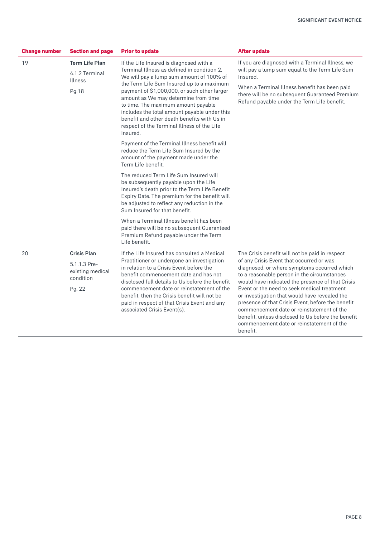| <b>Section and page</b><br><b>Change number</b> |                                                           | <b>Prior to update</b>                                                                                                                                                                                                                                                                | <b>After update</b>                                                                                                                                                                                                                                                                                           |  |
|-------------------------------------------------|-----------------------------------------------------------|---------------------------------------------------------------------------------------------------------------------------------------------------------------------------------------------------------------------------------------------------------------------------------------|---------------------------------------------------------------------------------------------------------------------------------------------------------------------------------------------------------------------------------------------------------------------------------------------------------------|--|
| 19                                              | <b>Term Life Plan</b><br>4.1.2 Terminal<br><b>Illness</b> | If the Life Insured is diagnosed with a<br>Terminal Illness as defined in condition 2.<br>We will pay a lump sum amount of 100% of<br>the Term Life Sum Insured up to a maximum                                                                                                       | If you are diagnosed with a Terminal Illness, we<br>will pay a lump sum equal to the Term Life Sum<br>Insured.<br>When a Terminal Illness benefit has been paid                                                                                                                                               |  |
|                                                 | Pg.18                                                     | payment of \$1,000,000, or such other larger<br>amount as We may determine from time<br>to time. The maximum amount payable<br>includes the total amount payable under this<br>benefit and other death benefits with Us in<br>respect of the Terminal Illness of the Life<br>Insured. | there will be no subsequent Guaranteed Premium<br>Refund payable under the Term Life benefit.                                                                                                                                                                                                                 |  |
|                                                 |                                                           | Payment of the Terminal Illness benefit will<br>reduce the Term Life Sum Insured by the<br>amount of the payment made under the<br>Term Life benefit.                                                                                                                                 |                                                                                                                                                                                                                                                                                                               |  |
|                                                 |                                                           | The reduced Term Life Sum Insured will<br>be subsequently payable upon the Life<br>Insured's death prior to the Term Life Benefit<br>Expiry Date. The premium for the benefit will<br>be adjusted to reflect any reduction in the<br>Sum Insured for that benefit.                    |                                                                                                                                                                                                                                                                                                               |  |
|                                                 |                                                           | When a Terminal Illness benefit has been<br>paid there will be no subsequent Guaranteed<br>Premium Refund payable under the Term<br>Life benefit.                                                                                                                                     |                                                                                                                                                                                                                                                                                                               |  |
| 20                                              | <b>Crisis Plan</b>                                        | If the Life Insured has consulted a Medical<br>Practitioner or undergone an investigation<br>in relation to a Crisis Event before the<br>benefit commencement date and has not<br>disclosed full details to Us before the benefit                                                     | The Crisis benefit will not be paid in respect                                                                                                                                                                                                                                                                |  |
|                                                 | 5.1.1.3 Pre-<br>existing medical<br>condition             |                                                                                                                                                                                                                                                                                       | of any Crisis Event that occurred or was<br>diagnosed, or where symptoms occurred which<br>to a reasonable person in the circumstances<br>would have indicated the presence of that Crisis                                                                                                                    |  |
|                                                 | Pg. 22                                                    | commencement date or reinstatement of the<br>benefit, then the Crisis benefit will not be<br>paid in respect of that Crisis Event and any<br>associated Crisis Event(s).                                                                                                              | Event or the need to seek medical treatment<br>or investigation that would have revealed the<br>presence of that Crisis Event, before the benefit<br>commencement date or reinstatement of the<br>benefit, unless disclosed to Us before the benefit<br>commencement date or reinstatement of the<br>benefit. |  |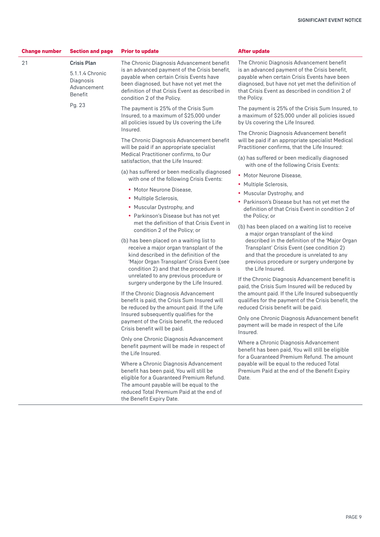| <b>Change number</b>                                       | <b>Section and page</b><br><b>Prior to update</b>                            |                                                                                                                                                                                                                                                                      | <b>After update</b>                                                                                                                                                                                                                                                                                        |  |  |
|------------------------------------------------------------|------------------------------------------------------------------------------|----------------------------------------------------------------------------------------------------------------------------------------------------------------------------------------------------------------------------------------------------------------------|------------------------------------------------------------------------------------------------------------------------------------------------------------------------------------------------------------------------------------------------------------------------------------------------------------|--|--|
| 21                                                         | <b>Crisis Plan</b><br>5.1.1.4 Chronic<br>Diagnosis<br>Advancement<br>Benefit | The Chronic Diagnosis Advancement benefit<br>is an advanced payment of the Crisis benefit,<br>payable when certain Crisis Events have<br>been diagnosed, but have not yet met the<br>definition of that Crisis Event as described in<br>condition 2 of the Policy.   | The Chronic Diagnosis Advancement benefit<br>is an advanced payment of the Crisis benefit,<br>payable when certain Crisis Events have been<br>diagnosed, but have not yet met the definition of<br>that Crisis Event as described in condition 2 of<br>the Policy.                                         |  |  |
|                                                            | Pg. 23                                                                       | The payment is 25% of the Crisis Sum<br>Insured, to a maximum of \$25,000 under<br>all policies issued by Us covering the Life                                                                                                                                       | The payment is 25% of the Crisis Sum Insured, to<br>a maximum of \$25,000 under all policies issued<br>by Us covering the Life Insured.                                                                                                                                                                    |  |  |
|                                                            |                                                                              | Insured.<br>The Chronic Diagnosis Advancement benefit<br>will be paid if an appropriate specialist                                                                                                                                                                   | The Chronic Diagnosis Advancement benefit<br>will be paid if an appropriate specialist Medical<br>Practitioner confirms, that the Life Insured:                                                                                                                                                            |  |  |
|                                                            |                                                                              | Medical Practitioner confirms, to Our<br>satisfaction, that the Life Insured:                                                                                                                                                                                        | (a) has suffered or been medically diagnosed<br>with one of the following Crisis Events:                                                                                                                                                                                                                   |  |  |
|                                                            |                                                                              | (a) has suffered or been medically diagnosed<br>with one of the following Crisis Events:                                                                                                                                                                             | • Motor Neurone Disease,                                                                                                                                                                                                                                                                                   |  |  |
|                                                            |                                                                              | • Motor Neurone Disease,                                                                                                                                                                                                                                             | • Multiple Sclerosis,                                                                                                                                                                                                                                                                                      |  |  |
|                                                            |                                                                              | • Multiple Sclerosis,                                                                                                                                                                                                                                                | • Muscular Dystrophy, and                                                                                                                                                                                                                                                                                  |  |  |
| • Muscular Dystrophy, and<br>condition 2 of the Policy; or |                                                                              |                                                                                                                                                                                                                                                                      | • Parkinson's Disease but has not yet met the<br>definition of that Crisis Event in condition 2 of                                                                                                                                                                                                         |  |  |
|                                                            | • Parkinson's Disease but has not yet                                        | the Policy; or                                                                                                                                                                                                                                                       |                                                                                                                                                                                                                                                                                                            |  |  |
|                                                            |                                                                              | met the definition of that Crisis Event in<br>(b) has been placed on a waiting list to<br>receive a major organ transplant of the<br>kind described in the definition of the<br>'Major Organ Transplant' Crisis Event (see<br>condition 2) and that the procedure is | (b) has been placed on a waiting list to receive<br>a major organ transplant of the kind<br>described in the definition of the 'Major Organ<br>Transplant' Crisis Event (see condition 2)<br>and that the procedure is unrelated to any<br>previous procedure or surgery undergone by<br>the Life Insured. |  |  |
|                                                            |                                                                              | unrelated to any previous procedure or<br>surgery undergone by the Life Insured.                                                                                                                                                                                     | If the Chronic Diagnosis Advancement benefit is<br>paid, the Crisis Sum Insured will be reduced by                                                                                                                                                                                                         |  |  |
|                                                            |                                                                              | If the Chronic Diagnosis Advancement<br>benefit is paid, the Crisis Sum Insured will<br>be reduced by the amount paid. If the Life                                                                                                                                   | the amount paid. If the Life Insured subsequently<br>qualifies for the payment of the Crisis benefit, the<br>reduced Crisis benefit will be paid.                                                                                                                                                          |  |  |
|                                                            |                                                                              | Insured subsequently qualifies for the<br>payment of the Crisis benefit, the reduced<br>Crisis benefit will be paid.                                                                                                                                                 | Only one Chronic Diagnosis Advancement benefit<br>payment will be made in respect of the Life<br>Insured.                                                                                                                                                                                                  |  |  |
|                                                            |                                                                              | Only one Chronic Diagnosis Advancement<br>benefit payment will be made in respect of<br>the Life Insured.                                                                                                                                                            | Where a Chronic Diagnosis Advancement<br>benefit has been paid, You will still be eligible<br>for a Guaranteed Premium Refund. The amount                                                                                                                                                                  |  |  |
|                                                            |                                                                              | Where a Chronic Diagnosis Advancement<br>benefit has been paid, You will still be<br>eligible for a Guaranteed Premium Refund.<br>The amount payable will be equal to the<br>reduced Total Premium Paid at the end of<br>the Benefit Expiry Date.                    | payable will be equal to the reduced Total<br>Premium Paid at the end of the Benefit Expiry<br>Date.                                                                                                                                                                                                       |  |  |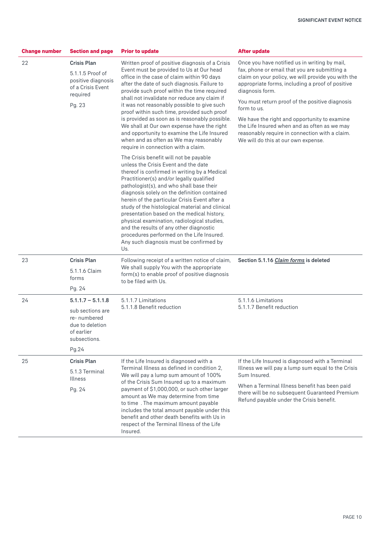| <b>Section and page</b><br><b>Change number</b><br><b>Prior to update</b> |                                                                                                                  |                                                                                                                                                                                                                                                                                                                                                                                                                                                                                                                                                                                                                                                                                                                                                                                                                                                                                                                                                                                                                                                                                                                                                                                                                                      | <b>After update</b>                                                                                                                                                                                                                                                                                                                                                                                                                                                                    |
|---------------------------------------------------------------------------|------------------------------------------------------------------------------------------------------------------|--------------------------------------------------------------------------------------------------------------------------------------------------------------------------------------------------------------------------------------------------------------------------------------------------------------------------------------------------------------------------------------------------------------------------------------------------------------------------------------------------------------------------------------------------------------------------------------------------------------------------------------------------------------------------------------------------------------------------------------------------------------------------------------------------------------------------------------------------------------------------------------------------------------------------------------------------------------------------------------------------------------------------------------------------------------------------------------------------------------------------------------------------------------------------------------------------------------------------------------|----------------------------------------------------------------------------------------------------------------------------------------------------------------------------------------------------------------------------------------------------------------------------------------------------------------------------------------------------------------------------------------------------------------------------------------------------------------------------------------|
| 22                                                                        | <b>Crisis Plan</b><br>5.1.1.5 Proof of<br>positive diagnosis<br>of a Crisis Event<br>required<br>Pg. 23          | Written proof of positive diagnosis of a Crisis<br>Event must be provided to Us at Our head<br>office in the case of claim within 90 days<br>after the date of such diagnosis. Failure to<br>provide such proof within the time required<br>shall not invalidate nor reduce any claim if<br>it was not reasonably possible to give such<br>proof within such time, provided such proof<br>is provided as soon as is reasonably possible.<br>We shall at Our own expense have the right<br>and opportunity to examine the Life Insured<br>when and as often as We may reasonably<br>require in connection with a claim.<br>The Crisis benefit will not be payable<br>unless the Crisis Event and the date<br>thereof is confirmed in writing by a Medical<br>Practitioner(s) and/or legally qualified<br>pathologist(s), and who shall base their<br>diagnosis solely on the definition contained<br>herein of the particular Crisis Event after a<br>study of the histological material and clinical<br>presentation based on the medical history,<br>physical examination, radiological studies,<br>and the results of any other diagnostic<br>procedures performed on the Life Insured.<br>Any such diagnosis must be confirmed by | Once you have notified us in writing by mail,<br>fax, phone or email that you are submitting a<br>claim on your policy, we will provide you with the<br>appropriate forms, including a proof of positive<br>diagnosis form.<br>You must return proof of the positive diagnosis<br>form to us.<br>We have the right and opportunity to examine<br>the Life Insured when and as often as we may<br>reasonably require in connection with a claim.<br>We will do this at our own expense. |
| 23                                                                        | <b>Crisis Plan</b><br>5.1.1.6 Claim<br>forms                                                                     | Us.<br>Following receipt of a written notice of claim,<br>We shall supply You with the appropriate<br>form(s) to enable proof of positive diagnosis                                                                                                                                                                                                                                                                                                                                                                                                                                                                                                                                                                                                                                                                                                                                                                                                                                                                                                                                                                                                                                                                                  | Section 5.1.16 Claim forms is deleted                                                                                                                                                                                                                                                                                                                                                                                                                                                  |
|                                                                           | Pg. 24                                                                                                           | to be filed with Us.                                                                                                                                                                                                                                                                                                                                                                                                                                                                                                                                                                                                                                                                                                                                                                                                                                                                                                                                                                                                                                                                                                                                                                                                                 |                                                                                                                                                                                                                                                                                                                                                                                                                                                                                        |
| 24                                                                        | $5.1.1.7 - 5.1.1.8$<br>sub sections are<br>re-numbered<br>due to deletion<br>of earlier<br>subsections.<br>Pg.24 | 5.1.1.7 Limitations<br>5.1.1.8 Benefit reduction                                                                                                                                                                                                                                                                                                                                                                                                                                                                                                                                                                                                                                                                                                                                                                                                                                                                                                                                                                                                                                                                                                                                                                                     | 5.1.1.6 Limitations<br>5.1.1.7 Benefit reduction                                                                                                                                                                                                                                                                                                                                                                                                                                       |
| 25                                                                        | <b>Crisis Plan</b>                                                                                               | If the Life Insured is diagnosed with a                                                                                                                                                                                                                                                                                                                                                                                                                                                                                                                                                                                                                                                                                                                                                                                                                                                                                                                                                                                                                                                                                                                                                                                              | If the Life Insured is diagnosed with a Terminal                                                                                                                                                                                                                                                                                                                                                                                                                                       |
|                                                                           | 5.1.3 Terminal<br><b>Illness</b>                                                                                 | Terminal Illness as defined in condition 2.<br>We will pay a lump sum amount of 100%<br>of the Crisis Sum Insured up to a maximum                                                                                                                                                                                                                                                                                                                                                                                                                                                                                                                                                                                                                                                                                                                                                                                                                                                                                                                                                                                                                                                                                                    | Illness we will pay a lump sum equal to the Crisis<br>Sum Insured.                                                                                                                                                                                                                                                                                                                                                                                                                     |
|                                                                           | Pg. 24                                                                                                           | payment of \$1,000,000, or such other larger<br>amount as We may determine from time<br>to time. The maximum amount payable<br>includes the total amount payable under this<br>benefit and other death benefits with Us in<br>respect of the Terminal Illness of the Life<br>Insured.                                                                                                                                                                                                                                                                                                                                                                                                                                                                                                                                                                                                                                                                                                                                                                                                                                                                                                                                                | When a Terminal Illness benefit has been paid<br>there will be no subsequent Guaranteed Premium<br>Refund payable under the Crisis benefit.                                                                                                                                                                                                                                                                                                                                            |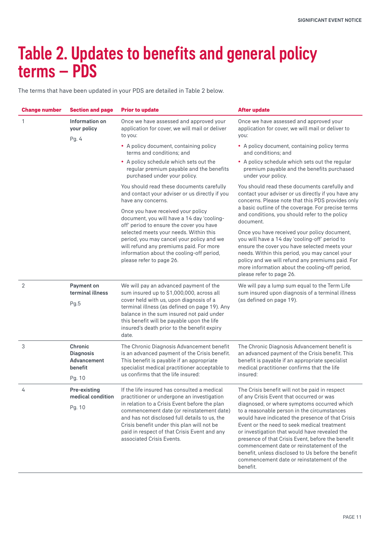### Table 2. Updates to benefits and general policy terms – PDS

The terms that have been updated in your PDS are detailed in Table 2 below.

| <b>Change number</b> | <b>Section and page</b>                                         | <b>Prior to update</b>                                                                                                                                                                                                                                                                                                                                              | <b>After update</b>                                                                                                                                                                                                                                                                                                                                                                                                                                                                                                                                           |
|----------------------|-----------------------------------------------------------------|---------------------------------------------------------------------------------------------------------------------------------------------------------------------------------------------------------------------------------------------------------------------------------------------------------------------------------------------------------------------|---------------------------------------------------------------------------------------------------------------------------------------------------------------------------------------------------------------------------------------------------------------------------------------------------------------------------------------------------------------------------------------------------------------------------------------------------------------------------------------------------------------------------------------------------------------|
| 1                    | Information on<br>your policy<br>Pg. 4                          | Once we have assessed and approved your<br>application for cover, we will mail or deliver<br>to you:                                                                                                                                                                                                                                                                | Once we have assessed and approved your<br>application for cover, we will mail or deliver to<br>you:                                                                                                                                                                                                                                                                                                                                                                                                                                                          |
|                      |                                                                 | • A policy document, containing policy<br>terms and conditions; and                                                                                                                                                                                                                                                                                                 | • A policy document, containing policy terms<br>and conditions: and                                                                                                                                                                                                                                                                                                                                                                                                                                                                                           |
|                      |                                                                 | • A policy schedule which sets out the<br>regular premium payable and the benefits<br>purchased under your policy.                                                                                                                                                                                                                                                  | • A policy schedule which sets out the regular<br>premium payable and the benefits purchased<br>under your policy.                                                                                                                                                                                                                                                                                                                                                                                                                                            |
|                      |                                                                 | You should read these documents carefully<br>and contact your adviser or us directly if you<br>have any concerns.                                                                                                                                                                                                                                                   | You should read these documents carefully and<br>contact your adviser or us directly if you have any<br>concerns. Please note that this PDS provides only                                                                                                                                                                                                                                                                                                                                                                                                     |
|                      |                                                                 | Once you have received your policy<br>document, you will have a 14 day 'cooling-<br>off' period to ensure the cover you have                                                                                                                                                                                                                                        | a basic outline of the coverage. For precise terms<br>and conditions, you should refer to the policy<br>document.                                                                                                                                                                                                                                                                                                                                                                                                                                             |
|                      |                                                                 | selected meets your needs. Within this<br>period, you may cancel your policy and we<br>will refund any premiums paid. For more<br>information about the cooling-off period,<br>please refer to page 26.                                                                                                                                                             | Once you have received your policy document,<br>you will have a 14 day 'cooling-off' period to<br>ensure the cover you have selected meets your<br>needs. Within this period, you may cancel your<br>policy and we will refund any premiums paid. For<br>more information about the cooling-off period,<br>please refer to page 26.                                                                                                                                                                                                                           |
| $\overline{2}$       | Payment on<br>terminal illness<br>Pg.5                          | We will pay an advanced payment of the<br>sum insured up to \$1,000,000, across all<br>cover held with us, upon diagnosis of a<br>terminal illness (as defined on page 19). Any<br>balance in the sum insured not paid under<br>this benefit will be payable upon the life<br>insured's death prior to the benefit expiry<br>date.                                  | We will pay a lump sum equal to the Term Life<br>sum insured upon diagnosis of a terminal illness<br>(as defined on page 19).                                                                                                                                                                                                                                                                                                                                                                                                                                 |
| 3                    | Chronic<br><b>Diagnosis</b><br>Advancement<br>benefit<br>Pg. 10 | The Chronic Diagnosis Advancement benefit<br>is an advanced payment of the Crisis benefit.<br>This benefit is payable if an appropriate<br>specialist medical practitioner acceptable to<br>us confirms that the life insured:                                                                                                                                      | The Chronic Diagnosis Advancement benefit is<br>an advanced payment of the Crisis benefit. This<br>benefit is payable if an appropriate specialist<br>medical practitioner confirms that the life<br>insured:                                                                                                                                                                                                                                                                                                                                                 |
| 4                    | Pre-existing<br>medical condition<br>Pg. 10                     | If the life insured has consulted a medical<br>practitioner or undergone an investigation<br>in relation to a Crisis Event before the plan<br>commencement date (or reinstatement date)<br>and has not disclosed full details to us, the<br>Crisis benefit under this plan will not be<br>paid in respect of that Crisis Event and any<br>associated Crisis Events. | The Crisis benefit will not be paid in respect<br>of any Crisis Event that occurred or was<br>diagnosed, or where symptoms occurred which<br>to a reasonable person in the circumstances<br>would have indicated the presence of that Crisis<br>Event or the need to seek medical treatment<br>or investigation that would have revealed the<br>presence of that Crisis Event, before the benefit<br>commencement date or reinstatement of the<br>benefit, unless disclosed to Us before the benefit<br>commencement date or reinstatement of the<br>benefit. |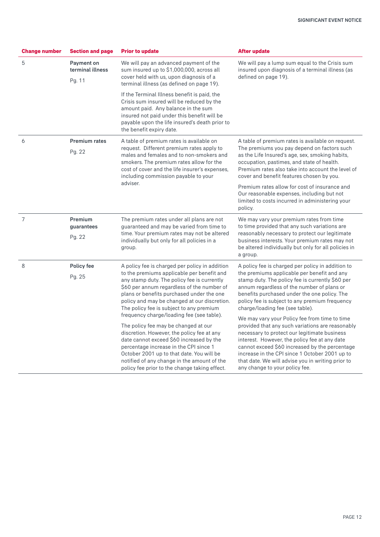| <b>Change number</b> | <b>Section and page</b><br><b>Prior to update</b> |                                                                                                                                                                                                                                                                                                                                                                                                                                                                                                                                                                                                                                                                                                          | <b>After update</b>                                                                                                                                                                                                                                                                                                                                                                                                                                                                                                                                                                                                                                                                                                                      |  |  |
|----------------------|---------------------------------------------------|----------------------------------------------------------------------------------------------------------------------------------------------------------------------------------------------------------------------------------------------------------------------------------------------------------------------------------------------------------------------------------------------------------------------------------------------------------------------------------------------------------------------------------------------------------------------------------------------------------------------------------------------------------------------------------------------------------|------------------------------------------------------------------------------------------------------------------------------------------------------------------------------------------------------------------------------------------------------------------------------------------------------------------------------------------------------------------------------------------------------------------------------------------------------------------------------------------------------------------------------------------------------------------------------------------------------------------------------------------------------------------------------------------------------------------------------------------|--|--|
| 5                    | Payment on<br>terminal illness<br>Pg. 11          | We will pay an advanced payment of the<br>sum insured up to \$1,000,000, across all<br>cover held with us, upon diagnosis of a<br>terminal illness (as defined on page 19).                                                                                                                                                                                                                                                                                                                                                                                                                                                                                                                              | We will pay a lump sum equal to the Crisis sum<br>insured upon diagnosis of a terminal illness (as<br>defined on page 19).                                                                                                                                                                                                                                                                                                                                                                                                                                                                                                                                                                                                               |  |  |
|                      |                                                   | If the Terminal Illness benefit is paid, the<br>Crisis sum insured will be reduced by the<br>amount paid. Any balance in the sum<br>insured not paid under this benefit will be<br>payable upon the life insured's death prior to<br>the benefit expiry date.                                                                                                                                                                                                                                                                                                                                                                                                                                            |                                                                                                                                                                                                                                                                                                                                                                                                                                                                                                                                                                                                                                                                                                                                          |  |  |
| 6                    | <b>Premium rates</b><br>Pg. 22                    | A table of premium rates is available on<br>request. Different premium rates apply to<br>males and females and to non-smokers and<br>smokers. The premium rates allow for the<br>cost of cover and the life insurer's expenses.<br>including commission payable to your                                                                                                                                                                                                                                                                                                                                                                                                                                  | A table of premium rates is available on request.<br>The premiums you pay depend on factors such<br>as the Life Insured's age, sex, smoking habits,<br>occupation, pastimes, and state of health.<br>Premium rates also take into account the level of<br>cover and benefit features chosen by you.                                                                                                                                                                                                                                                                                                                                                                                                                                      |  |  |
|                      |                                                   | adviser.                                                                                                                                                                                                                                                                                                                                                                                                                                                                                                                                                                                                                                                                                                 | Premium rates allow for cost of insurance and<br>Our reasonable expenses, including but not<br>limited to costs incurred in administering your<br>policy.                                                                                                                                                                                                                                                                                                                                                                                                                                                                                                                                                                                |  |  |
| $\overline{7}$       | Premium<br>guarantees<br>Pg. 22                   | The premium rates under all plans are not<br>guaranteed and may be varied from time to<br>time. Your premium rates may not be altered<br>individually but only for all policies in a<br>group.                                                                                                                                                                                                                                                                                                                                                                                                                                                                                                           | We may vary your premium rates from time<br>to time provided that any such variations are<br>reasonably necessary to protect our legitimate<br>business interests. Your premium rates may not<br>be altered individually but only for all policies in<br>a group.                                                                                                                                                                                                                                                                                                                                                                                                                                                                        |  |  |
| 8                    | Policy fee<br>Pg. 25                              | A policy fee is charged per policy in addition<br>to the premiums applicable per benefit and<br>any stamp duty. The policy fee is currently<br>\$60 per annum regardless of the number of<br>plans or benefits purchased under the one<br>policy and may be changed at our discretion.<br>The policy fee is subject to any premium<br>frequency charge/loading fee (see table).<br>The policy fee may be changed at our<br>discretion. However, the policy fee at any<br>date cannot exceed \$60 increased by the<br>percentage increase in the CPI since 1<br>October 2001 up to that date. You will be<br>notified of any change in the amount of the<br>policy fee prior to the change taking effect. | A policy fee is charged per policy in addition to<br>the premiums applicable per benefit and any<br>stamp duty. The policy fee is currently \$60 per<br>annum regardless of the number of plans or<br>benefits purchased under the one policy. The<br>policy fee is subject to any premium frequency<br>charge/loading fee (see table).<br>We may vary your Policy fee from time to time<br>provided that any such variations are reasonably<br>necessary to protect our legitimate business<br>interest. However, the policy fee at any date<br>cannot exceed \$60 increased by the percentage<br>increase in the CPI since 1 October 2001 up to<br>that date. We will advise you in writing prior to<br>any change to your policy fee. |  |  |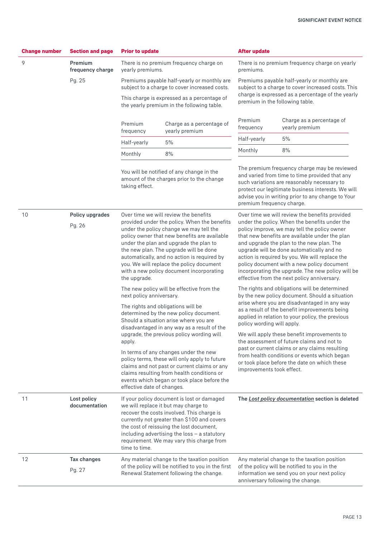| <b>Change number</b> | <b>Section and page</b>                                                                                                                                                                                                                                           | <b>Prior to update</b>                                                                                                                                                                                                                                                                                                                                                                                                                                                                                                                                                                                                                        |                                                                                                                                                                       | <b>After update</b>                                                                                                                                                                                                                                                                                                                                    |                                                                                                                                                                                                                                                          |
|----------------------|-------------------------------------------------------------------------------------------------------------------------------------------------------------------------------------------------------------------------------------------------------------------|-----------------------------------------------------------------------------------------------------------------------------------------------------------------------------------------------------------------------------------------------------------------------------------------------------------------------------------------------------------------------------------------------------------------------------------------------------------------------------------------------------------------------------------------------------------------------------------------------------------------------------------------------|-----------------------------------------------------------------------------------------------------------------------------------------------------------------------|--------------------------------------------------------------------------------------------------------------------------------------------------------------------------------------------------------------------------------------------------------------------------------------------------------------------------------------------------------|----------------------------------------------------------------------------------------------------------------------------------------------------------------------------------------------------------------------------------------------------------|
| 9                    | Premium<br>frequency charge                                                                                                                                                                                                                                       | yearly premiums.                                                                                                                                                                                                                                                                                                                                                                                                                                                                                                                                                                                                                              | There is no premium frequency charge on                                                                                                                               | premiums.                                                                                                                                                                                                                                                                                                                                              | There is no premium frequency charge on yearly                                                                                                                                                                                                           |
|                      | Pg. 25                                                                                                                                                                                                                                                            |                                                                                                                                                                                                                                                                                                                                                                                                                                                                                                                                                                                                                                               | Premiums payable half-yearly or monthly are<br>subject to a charge to cover increased costs.                                                                          |                                                                                                                                                                                                                                                                                                                                                        | Premiums payable half-yearly or monthly are<br>subject to a charge to cover increased costs. This                                                                                                                                                        |
|                      |                                                                                                                                                                                                                                                                   |                                                                                                                                                                                                                                                                                                                                                                                                                                                                                                                                                                                                                                               | This charge is expressed as a percentage of<br>the yearly premium in the following table.                                                                             |                                                                                                                                                                                                                                                                                                                                                        | charge is expressed as a percentage of the yearly<br>premium in the following table.                                                                                                                                                                     |
|                      |                                                                                                                                                                                                                                                                   | Premium<br>frequency                                                                                                                                                                                                                                                                                                                                                                                                                                                                                                                                                                                                                          | Charge as a percentage of<br>yearly premium                                                                                                                           | Premium<br>frequency                                                                                                                                                                                                                                                                                                                                   | Charge as a percentage of<br>yearly premium                                                                                                                                                                                                              |
|                      |                                                                                                                                                                                                                                                                   | Half-yearly                                                                                                                                                                                                                                                                                                                                                                                                                                                                                                                                                                                                                                   | Half-yearly<br>5%                                                                                                                                                     |                                                                                                                                                                                                                                                                                                                                                        | 5%                                                                                                                                                                                                                                                       |
|                      |                                                                                                                                                                                                                                                                   | Monthly                                                                                                                                                                                                                                                                                                                                                                                                                                                                                                                                                                                                                                       | 8%                                                                                                                                                                    | Monthly                                                                                                                                                                                                                                                                                                                                                | 8%                                                                                                                                                                                                                                                       |
|                      |                                                                                                                                                                                                                                                                   | You will be notified of any change in the<br>amount of the charges prior to the change<br>taking effect.                                                                                                                                                                                                                                                                                                                                                                                                                                                                                                                                      |                                                                                                                                                                       | premium frequency charge.                                                                                                                                                                                                                                                                                                                              | The premium frequency charge may be reviewed<br>and varied from time to time provided that any<br>such variations are reasonably necessary to<br>protect our legitimate business interests. We will<br>advise you in writing prior to any change to Your |
| 10                   | Policy upgrades<br>Pg. 26                                                                                                                                                                                                                                         | Over time we will review the benefits<br>provided under the policy. When the benefits<br>under the policy change we may tell the<br>policy owner that new benefits are available<br>under the plan and upgrade the plan to<br>and upgrade the plan to the new plan. The<br>the new plan. The upgrade will be done<br>upgrade will be done automatically and no<br>automatically, and no action is required by<br>you. We will replace the policy document<br>with a new policy document incorporating<br>the upgrade.<br>effective from the next policy anniversary.<br>The new policy will be effective from the<br>next policy anniversary. |                                                                                                                                                                       | Over time we will review the benefits provided<br>under the policy. When the benefits under the<br>policy improve, we may tell the policy owner<br>that new benefits are available under the plan<br>action is required by you. We will replace the<br>policy document with a new policy document<br>incorporating the upgrade. The new policy will be |                                                                                                                                                                                                                                                          |
|                      |                                                                                                                                                                                                                                                                   |                                                                                                                                                                                                                                                                                                                                                                                                                                                                                                                                                                                                                                               |                                                                                                                                                                       | The rights and obligations will be determined<br>by the new policy document. Should a situation                                                                                                                                                                                                                                                        |                                                                                                                                                                                                                                                          |
|                      |                                                                                                                                                                                                                                                                   |                                                                                                                                                                                                                                                                                                                                                                                                                                                                                                                                                                                                                                               | The rights and obligations will be<br>determined by the new policy document.<br>Should a situation arise where you are<br>disadvantaged in any way as a result of the | policy wording will apply.                                                                                                                                                                                                                                                                                                                             | arise where you are disadvantaged in any way<br>as a result of the benefit improvements being<br>applied in relation to your policy, the previous                                                                                                        |
|                      |                                                                                                                                                                                                                                                                   | apply.                                                                                                                                                                                                                                                                                                                                                                                                                                                                                                                                                                                                                                        | upgrade, the previous policy wording will                                                                                                                             |                                                                                                                                                                                                                                                                                                                                                        | We will apply these benefit improvements to<br>the assessment of future claims and not to<br>past or current claims or any claims resulting                                                                                                              |
|                      | In terms of any changes under the new<br>policy terms, these will only apply to future<br>claims and not past or current claims or any<br>claims resulting from health conditions or<br>events which began or took place before the<br>effective date of changes. |                                                                                                                                                                                                                                                                                                                                                                                                                                                                                                                                                                                                                                               |                                                                                                                                                                       | from health conditions or events which began<br>or took place before the date on which these<br>improvements took effect.                                                                                                                                                                                                                              |                                                                                                                                                                                                                                                          |
| 11                   | Lost policy<br>documentation                                                                                                                                                                                                                                      | If your policy document is lost or damaged<br>we will replace it but may charge to<br>recover the costs involved. This charge is<br>currently not greater than \$100 and covers<br>the cost of reissuing the lost document,<br>including advertising the loss $-$ a statutory<br>requirement. We may vary this charge from<br>time to time.                                                                                                                                                                                                                                                                                                   |                                                                                                                                                                       |                                                                                                                                                                                                                                                                                                                                                        | The Lost policy documentation section is deleted                                                                                                                                                                                                         |
| 12                   | Tax changes<br>Pg. 27                                                                                                                                                                                                                                             | Any material change to the taxation position<br>Any material change to the taxation position<br>of the policy will be notified to you in the first<br>of the policy will be notified to you in the<br>Renewal Statement following the change.<br>information we send you on your next policy<br>anniversary following the change.                                                                                                                                                                                                                                                                                                             |                                                                                                                                                                       |                                                                                                                                                                                                                                                                                                                                                        |                                                                                                                                                                                                                                                          |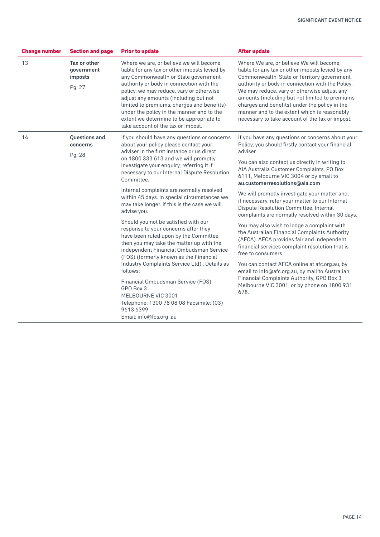| <b>Change number</b> | <b>Section and page</b>                         | <b>Prior to update</b>                                                                                                                                                                                                                                                                                                                                                                                                                                                                                                                                                                                                                                                                                                                                                                                                                                                                                                               | <b>After update</b>                                                                                                                                                                                                                                                                                                                                                                                                                                                                                                                                                                                                                                                                                                                                                                                                                                                                                                             |
|----------------------|-------------------------------------------------|--------------------------------------------------------------------------------------------------------------------------------------------------------------------------------------------------------------------------------------------------------------------------------------------------------------------------------------------------------------------------------------------------------------------------------------------------------------------------------------------------------------------------------------------------------------------------------------------------------------------------------------------------------------------------------------------------------------------------------------------------------------------------------------------------------------------------------------------------------------------------------------------------------------------------------------|---------------------------------------------------------------------------------------------------------------------------------------------------------------------------------------------------------------------------------------------------------------------------------------------------------------------------------------------------------------------------------------------------------------------------------------------------------------------------------------------------------------------------------------------------------------------------------------------------------------------------------------------------------------------------------------------------------------------------------------------------------------------------------------------------------------------------------------------------------------------------------------------------------------------------------|
| 13                   | Tax or other<br>government<br>imposts<br>Pg. 27 | Where we are, or believe we will become,<br>liable for any tax or other imposts levied by<br>any Commonwealth or State government,<br>authority or body in connection with the<br>policy, we may reduce, vary or otherwise<br>adjust any amounts (including but not<br>limited to premiums, charges and benefits)<br>under the policy in the manner and to the<br>extent we determine to be appropriate to<br>take account of the tax or impost.                                                                                                                                                                                                                                                                                                                                                                                                                                                                                     | Where We are, or believe We will become,<br>liable for any tax or other imposts levied by any<br>Commonwealth, State or Territory government,<br>authority or body in connection with the Policy,<br>We may reduce, vary or otherwise adjust any<br>amounts (including but not limited to premiums,<br>charges and benefits) under the policy in the<br>manner and to the extent which is reasonably<br>necessary to take account of the tax or impost.                                                                                                                                                                                                                                                                                                                                                                                                                                                                         |
| 14                   | <b>Ouestions and</b><br>concerns<br>Pg. 28      | If you should have any questions or concerns<br>about your policy please contact your<br>adviser in the first instance or us direct<br>on 1800 333 613 and we will promptly<br>investigate your enquiry, referring it if<br>necessary to our Internal Dispute Resolution<br>Committee.<br>Internal complaints are normally resolved<br>within 45 days. In special circumstances we<br>may take longer. If this is the case we will<br>advise you.<br>Should you not be satisfied with our<br>response to your concerns after they<br>have been ruled upon by the Committee,<br>then you may take the matter up with the<br>independent Financial Ombudsman Service<br>(FOS) (formerly known as the Financial<br>Industry Complaints Service Ltd). Details as<br>follows:<br>Financial Ombudsman Service (FOS)<br>GPO Box 3<br>MELBOURNE VIC 3001<br>Telephone: 1300 78 08 08 Facsimile: (03)<br>9613 6399<br>Email: info@fos.org .au | If you have any questions or concerns about your<br>Policy, you should firstly contact your financial<br>adviser.<br>You can also contact us directly in writing to<br>AIA Australia Customer Complaints, PO Box<br>6111, Melbourne VIC 3004 or by email to<br>au.customerresolutions@aia.com<br>We will promptly investigate your matter and,<br>if necessary, refer your matter to our Internal<br>Dispute Resolution Committee. Internal<br>complaints are normally resolved within 30 days.<br>You may also wish to lodge a complaint with<br>the Australian Financial Complaints Authority<br>(AFCA). AFCA provides fair and independent<br>financial services complaint resolution that is<br>free to consumers.<br>You can contact AFCA online at afc.org.au, by<br>email to info@afc.org.au, by mail to Australian<br>Financial Complaints Authority, GPO Box 3,<br>Melbourne VIC 3001, or by phone on 1800 931<br>678. |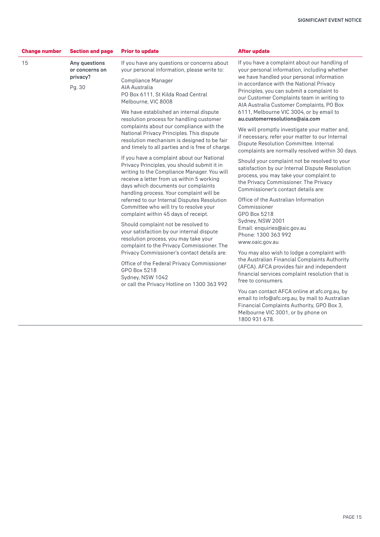| <b>Change number</b> | <b>Section and page</b>                                                                                                                                                                                                                                                                                                                                                                                                                                                                   | <b>Prior to update</b>                                                                                                                                                                                                                                                   | <b>After update</b>                                                                                                                                                                                                                                                      |
|----------------------|-------------------------------------------------------------------------------------------------------------------------------------------------------------------------------------------------------------------------------------------------------------------------------------------------------------------------------------------------------------------------------------------------------------------------------------------------------------------------------------------|--------------------------------------------------------------------------------------------------------------------------------------------------------------------------------------------------------------------------------------------------------------------------|--------------------------------------------------------------------------------------------------------------------------------------------------------------------------------------------------------------------------------------------------------------------------|
| 15                   | Any questions<br>or concerns on                                                                                                                                                                                                                                                                                                                                                                                                                                                           | If you have any questions or concerns about<br>your personal information, please write to:                                                                                                                                                                               | If you have a complaint about our handling of<br>your personal information, including whether                                                                                                                                                                            |
|                      | privacy?<br>Pg. 30                                                                                                                                                                                                                                                                                                                                                                                                                                                                        | <b>Compliance Manager</b><br>AIA Australia<br>PO Box 6111, St Kilda Road Central<br>Melbourne, VIC 8008<br>We have established an internal dispute                                                                                                                       | we have handled your personal information<br>in accordance with the National Privacy<br>Principles, you can submit a complaint to<br>our Customer Complaints team in writing to<br>AIA Australia Customer Complaints, PO Box<br>6111, Melbourne VIC 3004, or by email to |
|                      |                                                                                                                                                                                                                                                                                                                                                                                                                                                                                           | resolution process for handling customer<br>complaints about our compliance with the<br>National Privacy Principles. This dispute<br>resolution mechanism is designed to be fair<br>and timely to all parties and is free of charge.                                     | au.customerresolutions@aia.com<br>We will promptly investigate your matter and,<br>if necessary, refer your matter to our Internal<br>Dispute Resolution Committee. Internal<br>complaints are normally resolved within 30 days.                                         |
|                      |                                                                                                                                                                                                                                                                                                                                                                                                                                                                                           | If you have a complaint about our National<br>Privacy Principles, you should submit it in<br>writing to the Compliance Manager. You will<br>receive a letter from us within 5 working<br>days which documents our complaints<br>handling process. Your complaint will be | Should your complaint not be resolved to your<br>satisfaction by our Internal Dispute Resolution<br>process, you may take your complaint to<br>the Privacy Commissioner. The Privacy<br>Commissioner's contact details are:                                              |
|                      | referred to our Internal Disputes Resolution<br>Committee who will try to resolve your<br>complaint within 45 days of receipt.<br>Should complaint not be resolved to<br>your satisfaction by our internal dispute<br>resolution process, you may take your<br>complaint to the Privacy Commissioner. The<br>Privacy Commissioner's contact details are:<br>Office of the Federal Privacy Commissioner<br>GPO Box 5218<br>Sydney, NSW 1042<br>or call the Privacy Hotline on 1300 363 992 | Office of the Australian Information<br>Commissioner<br>GPO Box 5218                                                                                                                                                                                                     |                                                                                                                                                                                                                                                                          |
|                      |                                                                                                                                                                                                                                                                                                                                                                                                                                                                                           |                                                                                                                                                                                                                                                                          | Sydney, NSW 2001<br>Email: enquiries@aic.gov.au<br>Phone: 1300 363 992<br>www.oaic.gov.au                                                                                                                                                                                |
|                      |                                                                                                                                                                                                                                                                                                                                                                                                                                                                                           | You may also wish to lodge a complaint with<br>the Australian Financial Complaints Authority<br>(AFCA). AFCA provides fair and independent<br>financial services complaint resolution that is<br>free to consumers.                                                      |                                                                                                                                                                                                                                                                          |
|                      |                                                                                                                                                                                                                                                                                                                                                                                                                                                                                           |                                                                                                                                                                                                                                                                          | You can contact AFCA online at afc.org.au, by<br>email to info@afc.org.au, by mail to Australian<br>Financial Complaints Authority, GPO Box 3,<br>Melbourne VIC 3001, or by phone on<br>1800 931 678.                                                                    |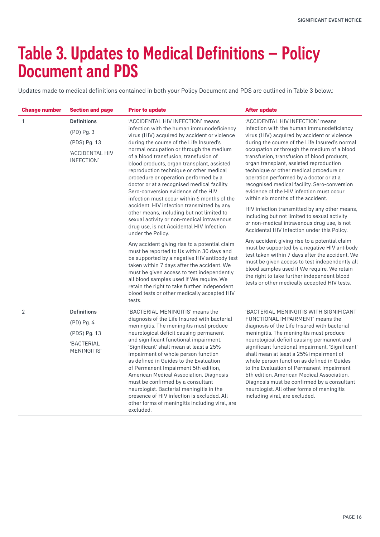## Table 3. Updates to Medical Definitions – Policy Document and PDS

Updates made to medical definitions contained in both your Policy Document and PDS are outlined in Table 3 below.:

| <b>Change number</b>                                    | <b>Section and page</b>                                                                                                                                                                                                                                                                                                                                                                                                                             | <b>Prior to update</b>                                                                                                                                                                                                                                                                                                                                                                                                                                                                                                                                                                                                                                                                                                                          | <b>After update</b>                                                                                                                                                                                                                                                                                                                                                                                                                                                                                                                                                                                                                                                                                                                             |
|---------------------------------------------------------|-----------------------------------------------------------------------------------------------------------------------------------------------------------------------------------------------------------------------------------------------------------------------------------------------------------------------------------------------------------------------------------------------------------------------------------------------------|-------------------------------------------------------------------------------------------------------------------------------------------------------------------------------------------------------------------------------------------------------------------------------------------------------------------------------------------------------------------------------------------------------------------------------------------------------------------------------------------------------------------------------------------------------------------------------------------------------------------------------------------------------------------------------------------------------------------------------------------------|-------------------------------------------------------------------------------------------------------------------------------------------------------------------------------------------------------------------------------------------------------------------------------------------------------------------------------------------------------------------------------------------------------------------------------------------------------------------------------------------------------------------------------------------------------------------------------------------------------------------------------------------------------------------------------------------------------------------------------------------------|
| $\mathbf{1}$                                            | <b>Definitions</b>                                                                                                                                                                                                                                                                                                                                                                                                                                  | 'ACCIDENTAL HIV INFECTION' means<br>infection with the human immunodeficiency<br>virus (HIV) acquired by accident or violence<br>during the course of the Life Insured's<br>normal occupation or through the medium<br>of a blood transfusion, transfusion of<br>blood products, organ transplant, assisted<br>reproduction technique or other medical<br>procedure or operation performed by a<br>doctor or at a recognised medical facility.<br>Sero-conversion evidence of the HIV<br>infection must occur within 6 months of the<br>accident. HIV infection transmitted by any<br>other means, including but not limited to<br>sexual activity or non-medical intravenous<br>drug use, is not Accidental HIV Infection<br>under the Policy. | 'ACCIDENTAL HIV INFECTION' means<br>infection with the human immunodeficiency<br>virus (HIV) acquired by accident or violence<br>during the course of the Life Insured's normal<br>occupation or through the medium of a blood<br>transfusion, transfusion of blood products,<br>organ transplant, assisted reproduction<br>technique or other medical procedure or<br>operation performed by a doctor or at a<br>recognised medical facility. Sero-conversion<br>evidence of the HIV infection must occur<br>within six months of the accident.<br>HIV infection transmitted by any other means,<br>including but not limited to sexual activity<br>or non-medical intravenous drug use, is not<br>Accidental HIV Infection under this Policy. |
|                                                         | (PD) Pg. 3                                                                                                                                                                                                                                                                                                                                                                                                                                          |                                                                                                                                                                                                                                                                                                                                                                                                                                                                                                                                                                                                                                                                                                                                                 |                                                                                                                                                                                                                                                                                                                                                                                                                                                                                                                                                                                                                                                                                                                                                 |
|                                                         | (PDS) Pg. 13                                                                                                                                                                                                                                                                                                                                                                                                                                        |                                                                                                                                                                                                                                                                                                                                                                                                                                                                                                                                                                                                                                                                                                                                                 |                                                                                                                                                                                                                                                                                                                                                                                                                                                                                                                                                                                                                                                                                                                                                 |
|                                                         | 'ACCIDENTAL HIV<br>INFECTION'                                                                                                                                                                                                                                                                                                                                                                                                                       |                                                                                                                                                                                                                                                                                                                                                                                                                                                                                                                                                                                                                                                                                                                                                 |                                                                                                                                                                                                                                                                                                                                                                                                                                                                                                                                                                                                                                                                                                                                                 |
|                                                         |                                                                                                                                                                                                                                                                                                                                                                                                                                                     | Any accident giving rise to a potential claim<br>must be reported to Us within 30 days and<br>be supported by a negative HIV antibody test<br>taken within 7 days after the accident. We<br>must be given access to test independently<br>all blood samples used if We require. We<br>retain the right to take further independent<br>blood tests or other medically accepted HIV<br>tests.                                                                                                                                                                                                                                                                                                                                                     | Any accident giving rise to a potential claim<br>must be supported by a negative HIV antibody<br>test taken within 7 days after the accident. We<br>must be given access to test independently all<br>blood samples used if We require. We retain<br>the right to take further independent blood<br>tests or other medically accepted HIV tests.                                                                                                                                                                                                                                                                                                                                                                                                |
| $\overline{2}$                                          | <b>Definitions</b>                                                                                                                                                                                                                                                                                                                                                                                                                                  | 'BACTERIAL MENINGITIS' means the<br>diagnosis of the Life Insured with bacterial<br>meningitis. The meningitis must produce<br>neurological deficit causing permanent                                                                                                                                                                                                                                                                                                                                                                                                                                                                                                                                                                           | 'BACTERIAL MENINGITIS WITH SIGNIFICANT<br>FUNCTIONAL IMPAIRMENT' means the<br>diagnosis of the Life Insured with bacterial<br>meningitis. The meningitis must produce                                                                                                                                                                                                                                                                                                                                                                                                                                                                                                                                                                           |
| (PD) Pg. 4<br>(PDS) Pg. 13<br>'BACTERIAL<br>MENINGITIS' |                                                                                                                                                                                                                                                                                                                                                                                                                                                     |                                                                                                                                                                                                                                                                                                                                                                                                                                                                                                                                                                                                                                                                                                                                                 |                                                                                                                                                                                                                                                                                                                                                                                                                                                                                                                                                                                                                                                                                                                                                 |
|                                                         |                                                                                                                                                                                                                                                                                                                                                                                                                                                     |                                                                                                                                                                                                                                                                                                                                                                                                                                                                                                                                                                                                                                                                                                                                                 |                                                                                                                                                                                                                                                                                                                                                                                                                                                                                                                                                                                                                                                                                                                                                 |
|                                                         | and significant functional impairment.<br>'Significant' shall mean at least a 25%<br>impairment of whole person function<br>as defined in Guides to the Evaluation<br>of Permanent Impairment 5th edition,<br>American Medical Association. Diagnosis<br>must be confirmed by a consultant<br>neurologist. Bacterial meningitis in the<br>presence of HIV infection is excluded. All<br>other forms of meningitis including viral, are<br>excluded. | neurological deficit causing permanent and<br>significant functional impairment. 'Significant'<br>shall mean at least a 25% impairment of<br>whole person function as defined in Guides<br>to the Evaluation of Permanent Impairment<br>5th edition. American Medical Association.<br>Diagnosis must be confirmed by a consultant<br>neurologist. All other forms of meningitis<br>including viral, are excluded.                                                                                                                                                                                                                                                                                                                               |                                                                                                                                                                                                                                                                                                                                                                                                                                                                                                                                                                                                                                                                                                                                                 |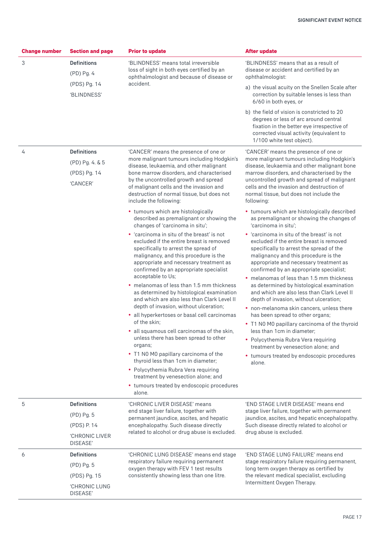| <b>Change number</b> | <b>Section and page</b>    | <b>Prior to update</b>                                                                                                                                                                                                                                                                                                                                                                                                                                                                                                                                                                                                                 | <b>After update</b>                                                                                                                                                                                                                                                                                                                   |
|----------------------|----------------------------|----------------------------------------------------------------------------------------------------------------------------------------------------------------------------------------------------------------------------------------------------------------------------------------------------------------------------------------------------------------------------------------------------------------------------------------------------------------------------------------------------------------------------------------------------------------------------------------------------------------------------------------|---------------------------------------------------------------------------------------------------------------------------------------------------------------------------------------------------------------------------------------------------------------------------------------------------------------------------------------|
| 3                    | <b>Definitions</b>         | 'BLINDNESS' means total irreversible<br>loss of sight in both eyes certified by an<br>ophthalmologist and because of disease or<br>accident.                                                                                                                                                                                                                                                                                                                                                                                                                                                                                           | 'BLINDNESS' means that as a result of<br>disease or accident and certified by an<br>ophthalmologist:                                                                                                                                                                                                                                  |
|                      | (PD) Pg. 4                 |                                                                                                                                                                                                                                                                                                                                                                                                                                                                                                                                                                                                                                        |                                                                                                                                                                                                                                                                                                                                       |
|                      | (PDS) Pg. 14               |                                                                                                                                                                                                                                                                                                                                                                                                                                                                                                                                                                                                                                        | a) the visual acuity on the Snellen Scale after                                                                                                                                                                                                                                                                                       |
|                      | 'BLINDNESS'                |                                                                                                                                                                                                                                                                                                                                                                                                                                                                                                                                                                                                                                        | correction by suitable lenses is less than<br>6/60 in both eyes, or                                                                                                                                                                                                                                                                   |
|                      |                            |                                                                                                                                                                                                                                                                                                                                                                                                                                                                                                                                                                                                                                        | b) the field of vision is constricted to 20<br>degrees or less of arc around central<br>fixation in the better eye irrespective of<br>corrected visual activity (equivalent to<br>1/100 white test object).                                                                                                                           |
| 4                    | <b>Definitions</b>         | 'CANCER' means the presence of one or                                                                                                                                                                                                                                                                                                                                                                                                                                                                                                                                                                                                  | 'CANCER' means the presence of one or<br>more malignant tumours including Hodgkin's<br>disease, leukaemia and other malignant bone<br>marrow disorders, and characterised by the<br>uncontrolled growth and spread of malignant<br>cells and the invasion and destruction of<br>normal tissue, but does not include the<br>following: |
|                      | (PD) Pg. 4. & 5            | more malignant tumours including Hodgkin's<br>disease, leukaemia, and other malignant                                                                                                                                                                                                                                                                                                                                                                                                                                                                                                                                                  |                                                                                                                                                                                                                                                                                                                                       |
|                      | (PDS) Pg. 14<br>'CANCER'   | bone marrow disorders, and characterised<br>by the uncontrolled growth and spread<br>of malignant cells and the invasion and<br>destruction of normal tissue, but does not<br>include the following:                                                                                                                                                                                                                                                                                                                                                                                                                                   |                                                                                                                                                                                                                                                                                                                                       |
|                      |                            | • tumours which are histologically<br>described as premalignant or showing the<br>changes of 'carcinoma in situ';                                                                                                                                                                                                                                                                                                                                                                                                                                                                                                                      | • tumours which are histologically described<br>as premalignant or showing the changes of<br>'carcinoma in situ';                                                                                                                                                                                                                     |
|                      |                            | • 'carcinoma in situ of the breast' is not<br>excluded if the entire breast is removed<br>specifically to arrest the spread of<br>malignancy, and this procedure is the<br>appropriate and necessary treatment as<br>confirmed by an appropriate specialist<br>acceptable to Us;<br>• melanomas of less than 1.5 mm thickness<br>as determined by histological examination<br>and which are also less than Clark Level II<br>depth of invasion, without ulceration;<br>• all hyperkertoses or basal cell carcinomas<br>of the skin;<br>• all squamous cell carcinomas of the skin,<br>unless there has been spread to other<br>organs; | • 'carcinoma in situ of the breast' is not<br>excluded if the entire breast is removed<br>specifically to arrest the spread of the<br>malignancy and this procedure is the<br>appropriate and necessary treatment as<br>confirmed by an appropriate specialist;                                                                       |
|                      |                            |                                                                                                                                                                                                                                                                                                                                                                                                                                                                                                                                                                                                                                        | • melanomas of less than 1.5 mm thickness<br>as determined by histological examination<br>and which are also less than Clark Level II<br>depth of invasion, without ulceration;                                                                                                                                                       |
|                      |                            |                                                                                                                                                                                                                                                                                                                                                                                                                                                                                                                                                                                                                                        | • non-melanoma skin cancers, unless there<br>has been spread to other organs;                                                                                                                                                                                                                                                         |
|                      |                            |                                                                                                                                                                                                                                                                                                                                                                                                                                                                                                                                                                                                                                        | • T1 N0 M0 papillary carcinoma of the thyroid<br>less than 1cm in diameter;                                                                                                                                                                                                                                                           |
|                      |                            |                                                                                                                                                                                                                                                                                                                                                                                                                                                                                                                                                                                                                                        | • Polycythemia Rubra Vera requiring<br>treatment by venesection alone; and                                                                                                                                                                                                                                                            |
|                      |                            | • T1 N0 M0 papillary carcinoma of the<br>thyroid less than 1cm in diameter;                                                                                                                                                                                                                                                                                                                                                                                                                                                                                                                                                            | • tumours treated by endoscopic procedures<br>alone.                                                                                                                                                                                                                                                                                  |
|                      |                            | • Polycythemia Rubra Vera requiring<br>treatment by venesection alone; and                                                                                                                                                                                                                                                                                                                                                                                                                                                                                                                                                             |                                                                                                                                                                                                                                                                                                                                       |
|                      |                            | • tumours treated by endoscopic procedures<br>alone.                                                                                                                                                                                                                                                                                                                                                                                                                                                                                                                                                                                   |                                                                                                                                                                                                                                                                                                                                       |
| 5                    | <b>Definitions</b>         | 'CHRONIC LIVER DISEASE' means<br>end stage liver failure, together with<br>permanent jaundice, ascites, and hepatic<br>encephalopathy. Such disease directly<br>related to alcohol or drug abuse is excluded.                                                                                                                                                                                                                                                                                                                                                                                                                          | 'END STAGE LIVER DISEASE' means end<br>stage liver failure, together with permanent<br>jaundice, ascites, and hepatic encephalopathy.<br>Such disease directly related to alcohol or<br>drug abuse is excluded.                                                                                                                       |
|                      | (PD) Pg. 5                 |                                                                                                                                                                                                                                                                                                                                                                                                                                                                                                                                                                                                                                        |                                                                                                                                                                                                                                                                                                                                       |
|                      | (PDS) P. 14                |                                                                                                                                                                                                                                                                                                                                                                                                                                                                                                                                                                                                                                        |                                                                                                                                                                                                                                                                                                                                       |
|                      | 'CHRONIC LIVER<br>DISEASE' |                                                                                                                                                                                                                                                                                                                                                                                                                                                                                                                                                                                                                                        |                                                                                                                                                                                                                                                                                                                                       |
| 6                    | <b>Definitions</b>         | 'CHRONIC LUNG DISEASE' means end stage                                                                                                                                                                                                                                                                                                                                                                                                                                                                                                                                                                                                 | 'END STAGE LUNG FAILURE' means end<br>stage respiratory failure requiring permanent,<br>long term oxygen therapy as certified by<br>the relevant medical specialist, excluding<br>Intermittent Oxygen Therapy.                                                                                                                        |
|                      | (PD) Pg. 5                 | respiratory failure requiring permanent<br>oxygen therapy with FEV 1 test results<br>consistently showing less than one litre.                                                                                                                                                                                                                                                                                                                                                                                                                                                                                                         |                                                                                                                                                                                                                                                                                                                                       |
|                      | (PDS) Pg. 15               |                                                                                                                                                                                                                                                                                                                                                                                                                                                                                                                                                                                                                                        |                                                                                                                                                                                                                                                                                                                                       |
|                      | 'CHRONIC LUNG<br>DISEASE'  |                                                                                                                                                                                                                                                                                                                                                                                                                                                                                                                                                                                                                                        |                                                                                                                                                                                                                                                                                                                                       |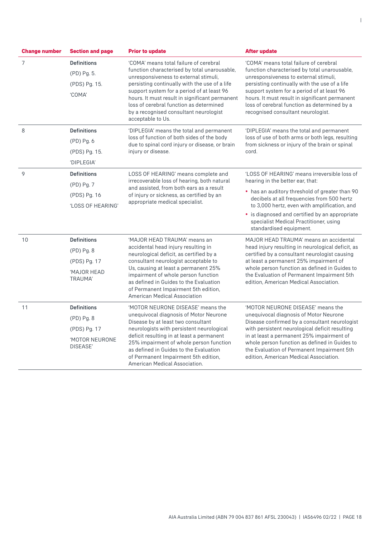| <b>Change number</b> | <b>Section and page</b>       | <b>Prior to update</b>                                                                                                                                                                                                                                                                                                                                                                     | <b>After update</b>                                                                                                                                                                                                                                                                                                                                                    |
|----------------------|-------------------------------|--------------------------------------------------------------------------------------------------------------------------------------------------------------------------------------------------------------------------------------------------------------------------------------------------------------------------------------------------------------------------------------------|------------------------------------------------------------------------------------------------------------------------------------------------------------------------------------------------------------------------------------------------------------------------------------------------------------------------------------------------------------------------|
| $\overline{7}$       | <b>Definitions</b>            | 'COMA' means total failure of cerebral<br>function characterised by total unarousable.<br>unresponsiveness to external stimuli,<br>persisting continually with the use of a life<br>support system for a period of at least 96<br>hours. It must result in significant permanent<br>loss of cerebral function as determined<br>by a recognised consultant neurologist<br>acceptable to Us. | 'COMA' means total failure of cerebral<br>function characterised by total unarousable.<br>unresponsiveness to external stimuli,<br>persisting continually with the use of a life<br>support system for a period of at least 96<br>hours. It must result in significant permanent<br>loss of cerebral function as determined by a<br>recognised consultant neurologist. |
|                      | (PD) Pg. 5.                   |                                                                                                                                                                                                                                                                                                                                                                                            |                                                                                                                                                                                                                                                                                                                                                                        |
|                      | (PDS) Pg. 15.                 |                                                                                                                                                                                                                                                                                                                                                                                            |                                                                                                                                                                                                                                                                                                                                                                        |
|                      | 'COMA'                        |                                                                                                                                                                                                                                                                                                                                                                                            |                                                                                                                                                                                                                                                                                                                                                                        |
| 8                    | <b>Definitions</b>            | 'DIPLEGIA' means the total and permanent<br>loss of function of both sides of the body<br>due to spinal cord injury or disease, or brain                                                                                                                                                                                                                                                   | 'DIPLEGIA' means the total and permanent<br>loss of use of both arms or both legs, resulting<br>from sickness or injury of the brain or spinal<br>cord.                                                                                                                                                                                                                |
|                      | (PD) Pg. 6                    |                                                                                                                                                                                                                                                                                                                                                                                            |                                                                                                                                                                                                                                                                                                                                                                        |
|                      | (PDS) Pg. 15.                 | injury or disease.                                                                                                                                                                                                                                                                                                                                                                         |                                                                                                                                                                                                                                                                                                                                                                        |
|                      | 'DIPLEGIA'                    |                                                                                                                                                                                                                                                                                                                                                                                            |                                                                                                                                                                                                                                                                                                                                                                        |
| 9                    | <b>Definitions</b>            | LOSS OF HEARING' means complete and                                                                                                                                                                                                                                                                                                                                                        | 'LOSS OF HEARING' means irreversible loss of                                                                                                                                                                                                                                                                                                                           |
|                      | (PD) Pg. 7                    | irrecoverable loss of hearing, both natural<br>and assisted, from both ears as a result<br>of injury or sickness, as certified by an<br>appropriate medical specialist.                                                                                                                                                                                                                    | hearing in the better ear, that:<br>• has an auditory threshold of greater than 90<br>decibels at all frequencies from 500 hertz<br>to 3,000 hertz, even with amplification, and                                                                                                                                                                                       |
|                      | (PDS) Pg. 16                  |                                                                                                                                                                                                                                                                                                                                                                                            |                                                                                                                                                                                                                                                                                                                                                                        |
|                      | 'LOSS OF HEARING'             |                                                                                                                                                                                                                                                                                                                                                                                            |                                                                                                                                                                                                                                                                                                                                                                        |
|                      |                               |                                                                                                                                                                                                                                                                                                                                                                                            | • is diagnosed and certified by an appropriate<br>specialist Medical Practitioner, using<br>standardised equipment.                                                                                                                                                                                                                                                    |
| 10                   | <b>Definitions</b>            | 'MAJOR HEAD TRAUMA' means an<br>accidental head injury resulting in<br>neurological deficit, as certified by a<br>consultant neurologist acceptable to<br>Us, causing at least a permanent 25%<br>impairment of whole person function<br>as defined in Guides to the Evaluation<br>of Permanent Impairment 5th edition.<br><b>American Medical Association</b>                             | MAJOR HEAD TRAUMA' means an accidental<br>head injury resulting in neurological deficit, as<br>certified by a consultant neurologist causing<br>at least a permanent 25% impairment of<br>whole person function as defined in Guides to<br>the Evaluation of Permanent Impairment 5th<br>edition, American Medical Association.                                        |
|                      | (PD) Pg. 8                    |                                                                                                                                                                                                                                                                                                                                                                                            |                                                                                                                                                                                                                                                                                                                                                                        |
|                      | (PDS) Pg. 17                  |                                                                                                                                                                                                                                                                                                                                                                                            |                                                                                                                                                                                                                                                                                                                                                                        |
|                      | 'MAJOR HEAD<br><b>TRAUMA'</b> |                                                                                                                                                                                                                                                                                                                                                                                            |                                                                                                                                                                                                                                                                                                                                                                        |
| 11                   | <b>Definitions</b>            | 'MOTOR NEURONE DISEASE' means the<br>unequivocal diagnosis of Motor Neurone<br>Disease by at least two consultant<br>neurologists with persistent neurological<br>deficit resulting in at least a permanent<br>25% impairment of whole person function<br>as defined in Guides to the Evaluation<br>of Permanent Impairment 5th edition,<br>American Medical Association.                  | 'MOTOR NEURONE DISEASE' means the<br>unequivocal diagnosis of Motor Neurone<br>Disease confirmed by a consultant neurologist<br>with persistent neurological deficit resulting<br>in at least a permanent 25% impairment of<br>whole person function as defined in Guides to<br>the Evaluation of Permanent Impairment 5th<br>edition, American Medical Association.   |
|                      | (PD) Pg. 8                    |                                                                                                                                                                                                                                                                                                                                                                                            |                                                                                                                                                                                                                                                                                                                                                                        |
|                      | (PDS) Pg. 17                  |                                                                                                                                                                                                                                                                                                                                                                                            |                                                                                                                                                                                                                                                                                                                                                                        |
|                      | 'MOTOR NEURONE<br>DISEASE'    |                                                                                                                                                                                                                                                                                                                                                                                            |                                                                                                                                                                                                                                                                                                                                                                        |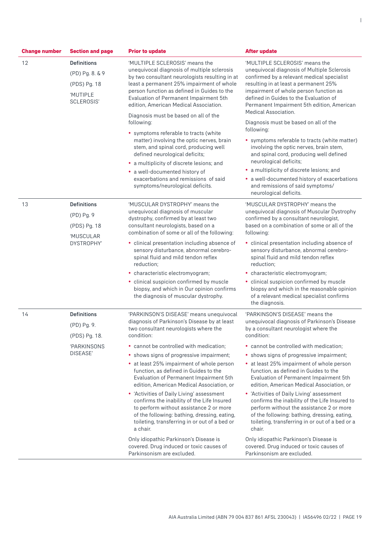| <b>Change number</b> | <b>Section and page</b> | <b>Prior to update</b>                                                                                                                                                                                                                                                                                          | <b>After update</b>                                                                                                                                                                                                                                 |
|----------------------|-------------------------|-----------------------------------------------------------------------------------------------------------------------------------------------------------------------------------------------------------------------------------------------------------------------------------------------------------------|-----------------------------------------------------------------------------------------------------------------------------------------------------------------------------------------------------------------------------------------------------|
| 12                   | <b>Definitions</b>      | 'MULTIPLE SCLEROSIS' means the<br>unequivocal diagnosis of multiple sclerosis<br>by two consultant neurologists resulting in at<br>least a permanent 25% impairment of whole<br>person function as defined in Guides to the<br>Evaluation of Permanent Impairment 5th<br>edition, American Medical Association. | 'MULTIPLE SCLEROSIS' means the                                                                                                                                                                                                                      |
|                      | (PD) Pg. 8. & 9         |                                                                                                                                                                                                                                                                                                                 | unequivocal diagnosis of Multiple Sclerosis<br>confirmed by a relevant medical specialist                                                                                                                                                           |
|                      | (PDS) Pg. 18            |                                                                                                                                                                                                                                                                                                                 | resulting in at least a permanent 25%<br>impairment of whole person function as                                                                                                                                                                     |
|                      | 'MUTIPLE<br>SCLEROSIS'  |                                                                                                                                                                                                                                                                                                                 | defined in Guides to the Evaluation of<br>Permanent Impairment 5th edition, American<br>Medical Association.                                                                                                                                        |
|                      |                         | Diagnosis must be based on all of the<br>following:                                                                                                                                                                                                                                                             | Diagnosis must be based on all of the                                                                                                                                                                                                               |
|                      |                         | • symptoms referable to tracts (white<br>matter) involving the optic nerves, brain<br>stem, and spinal cord, producing well<br>defined neurological deficits;                                                                                                                                                   | following:                                                                                                                                                                                                                                          |
|                      |                         |                                                                                                                                                                                                                                                                                                                 | • symptoms referable to tracts (white matter)<br>involving the optic nerves, brain stem,<br>and spinal cord, producing well defined                                                                                                                 |
|                      |                         | • a multiplicity of discrete lesions; and                                                                                                                                                                                                                                                                       | neurological deficits;<br>• a multiplicity of discrete lesions; and                                                                                                                                                                                 |
|                      |                         | • a well-documented history of<br>exacerbations and remissions of said<br>symptoms/neurological deficits.                                                                                                                                                                                                       | • a well-documented history of exacerbations                                                                                                                                                                                                        |
|                      |                         |                                                                                                                                                                                                                                                                                                                 | and remissions of said symptoms/<br>neurological deficits.                                                                                                                                                                                          |
| 13                   | <b>Definitions</b>      | 'MUSCULAR DYSTROPHY' means the                                                                                                                                                                                                                                                                                  | 'MUSCULAR DYSTROPHY' means the                                                                                                                                                                                                                      |
|                      | (PD) Pg. 9              | unequivocal diagnosis of muscular<br>dystrophy, confirmed by at least two<br>consultant neurologists, based on a<br>combination of some or all of the following:                                                                                                                                                | unequivocal diagnosis of Muscular Dystrophy<br>confirmed by a consultant neurologist,<br>based on a combination of some or all of the<br>following:                                                                                                 |
|                      | (PDS) Pg. 18            |                                                                                                                                                                                                                                                                                                                 |                                                                                                                                                                                                                                                     |
|                      | 'MUSCULAR<br>DYSTROPHY' | • clinical presentation including absence of                                                                                                                                                                                                                                                                    | • clinical presentation including absence of                                                                                                                                                                                                        |
|                      |                         | sensory disturbance, abnormal cerebro-<br>spinal fluid and mild tendon reflex<br>reduction;                                                                                                                                                                                                                     | sensory disturbance, abnormal cerebro-<br>spinal fluid and mild tendon reflex<br>reduction;                                                                                                                                                         |
|                      |                         | • characteristic electromyogram;                                                                                                                                                                                                                                                                                | • characteristic electromyogram;                                                                                                                                                                                                                    |
|                      |                         | · clinical suspicion confirmed by muscle<br>biopsy, and which in Our opinion confirms<br>the diagnosis of muscular dystrophy.                                                                                                                                                                                   | • clinical suspicion confirmed by muscle<br>biopsy and which in the reasonable opinion<br>of a relevant medical specialist confirms<br>the diagnosis.                                                                                               |
| 14                   | <b>Definitions</b>      | 'PARKINSON'S DISEASE' means unequivocal                                                                                                                                                                                                                                                                         | 'PARKINSON'S DISEASE' means the                                                                                                                                                                                                                     |
|                      | (PD) Pg. 9.             | diagnosis of Parkinson's Disease by at least<br>two consultant neurologists where the<br>condition:                                                                                                                                                                                                             | unequivocal diagnosis of Parkinson's Disease<br>by a consultant neurologist where the<br>condition:                                                                                                                                                 |
|                      | (PDS) Pg. 18.           |                                                                                                                                                                                                                                                                                                                 |                                                                                                                                                                                                                                                     |
|                      | 'PARKINSONS<br>DISEASE' | • cannot be controlled with medication;                                                                                                                                                                                                                                                                         | • cannot be controlled with medication;                                                                                                                                                                                                             |
|                      |                         | • shows signs of progressive impairment;                                                                                                                                                                                                                                                                        | • shows signs of progressive impairment;                                                                                                                                                                                                            |
|                      |                         | • at least 25% impairment of whole person<br>function, as defined in Guides to the<br>Evaluation of Permanent Impairment 5th<br>edition, American Medical Association, or                                                                                                                                       | • at least 25% impairment of whole person<br>function, as defined in Guides to the<br>Evaluation of Permanent Impairment 5th<br>edition, American Medical Association, or                                                                           |
|                      |                         | • 'Activities of Daily Living' assessment<br>confirms the inability of the Life Insured<br>to perform without assistance 2 or more<br>of the following: bathing, dressing, eating,<br>toileting, transferring in or out of a bed or<br>a chair.                                                                 | • 'Activities of Daily Living' assessment<br>confirms the inability of the Life Insured to<br>perform without the assistance 2 or more<br>of the following: bathing, dressing, eating,<br>toileting, transferring in or out of a bed or a<br>chair. |
|                      |                         | Only idiopathic Parkinson's Disease is<br>covered. Drug induced or toxic causes of<br>Parkinsonism are excluded.                                                                                                                                                                                                | Only idiopathic Parkinson's Disease is<br>covered. Drug induced or toxic causes of<br>Parkinsonism are excluded.                                                                                                                                    |

|